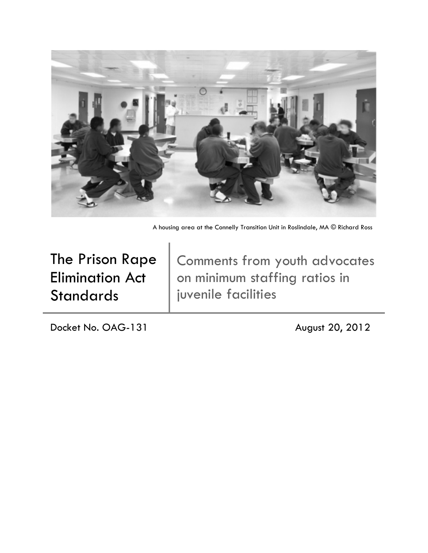

A housing area at the Connelly Transition Unit in Roslindale, MA © Richard Ross

The Prison Rape Elimination Act **Standards** 

Comments from youth advocates on minimum staffing ratios in juvenile facilities

Docket No. OAG-131 August 20, 2012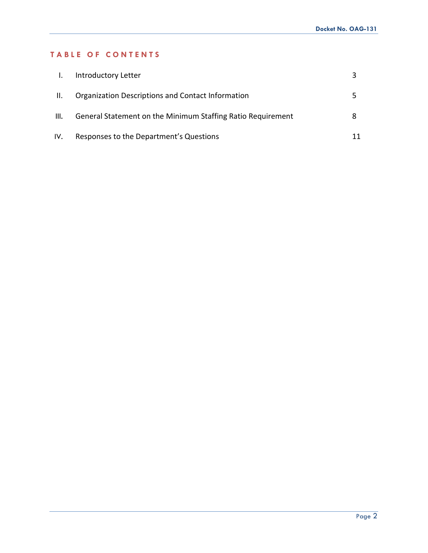## **TABLE OF CONTENTS**

| $\mathbf{I}$ . | Introductory Letter                                         |  |
|----------------|-------------------------------------------------------------|--|
| H.             | Organization Descriptions and Contact Information           |  |
| III.           | General Statement on the Minimum Staffing Ratio Requirement |  |
| IV.            | Responses to the Department's Questions                     |  |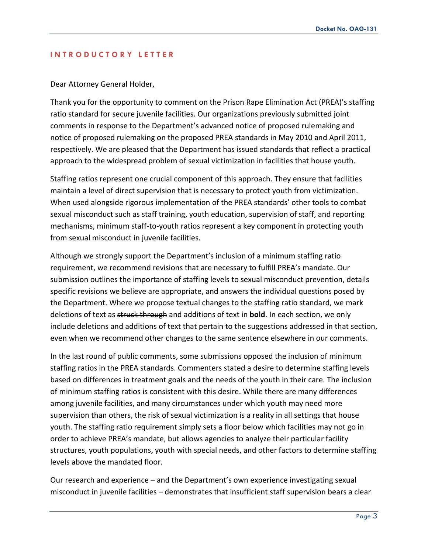#### **INTRODUCTORY LETTER**

#### Dear Attorney General Holder,

Thank you for the opportunity to comment on the Prison Rape Elimination Act (PREA)'s staffing ratio standard for secure juvenile facilities. Our organizations previously submitted joint comments in response to the Department's advanced notice of proposed rulemaking and notice of proposed rulemaking on the proposed PREA standards in May 2010 and April 2011, respectively. We are pleased that the Department has issued standards that reflect a practical approach to the widespread problem of sexual victimization in facilities that house youth.

Staffing ratios represent one crucial component of this approach. They ensure that facilities maintain a level of direct supervision that is necessary to protect youth from victimization. When used alongside rigorous implementation of the PREA standards' other tools to combat sexual misconduct such as staff training, youth education, supervision of staff, and reporting mechanisms, minimum staff-to-youth ratios represent a key component in protecting youth from sexual misconduct in juvenile facilities.

Although we strongly support the Department's inclusion of a minimum staffing ratio requirement, we recommend revisions that are necessary to fulfill PREA's mandate. Our submission outlines the importance of staffing levels to sexual misconduct prevention, details specific revisions we believe are appropriate, and answers the individual questions posed by the Department. Where we propose textual changes to the staffing ratio standard, we mark deletions of text as struck through and additions of text in **bold**. In each section, we only include deletions and additions of text that pertain to the suggestions addressed in that section, even when we recommend other changes to the same sentence elsewhere in our comments.

In the last round of public comments, some submissions opposed the inclusion of minimum staffing ratios in the PREA standards. Commenters stated a desire to determine staffing levels based on differences in treatment goals and the needs of the youth in their care. The inclusion of minimum staffing ratios is consistent with this desire. While there are many differences among juvenile facilities, and many circumstances under which youth may need more supervision than others, the risk of sexual victimization is a reality in all settings that house youth. The staffing ratio requirement simply sets a floor below which facilities may not go in order to achieve PREA's mandate, but allows agencies to analyze their particular facility structures, youth populations, youth with special needs, and other factors to determine staffing levels above the mandated floor.

Our research and experience – and the Department's own experience investigating sexual misconduct in juvenile facilities – demonstrates that insufficient staff supervision bears a clear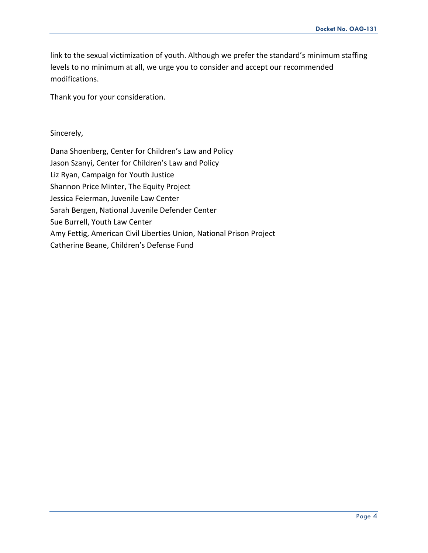link to the sexual victimization of youth. Although we prefer the standard's minimum staffing levels to no minimum at all, we urge you to consider and accept our recommended modifications.

Thank you for your consideration.

Sincerely,

Dana Shoenberg, Center for Children's Law and Policy Jason Szanyi, Center for Children's Law and Policy Liz Ryan, Campaign for Youth Justice Shannon Price Minter, The Equity Project Jessica Feierman, Juvenile Law Center Sarah Bergen, National Juvenile Defender Center Sue Burrell, Youth Law Center Amy Fettig, American Civil Liberties Union, National Prison Project Catherine Beane, Children's Defense Fund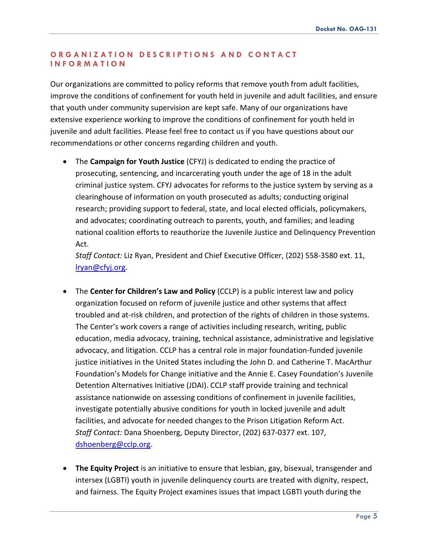### **ORGANIZATION DESCRIP TIONS AND CONTACT INFORMATION**

Our organizations are committed to policy reforms that remove youth from adult facilities, improve the conditions of confinement for youth held in juvenile and adult facilities, and ensure that youth under community supervision are kept safe. Many of our organizations have extensive experience working to improve the conditions of confinement for youth held in juvenile and adult facilities. Please feel free to contact us if you have questions about our recommendations or other concerns regarding children and youth.

• The **Campaign for Youth Justice** (CFYJ) is dedicated to ending the practice of prosecuting, sentencing, and incarcerating youth under the age of 18 in the adult criminal justice system. CFYJ advocates for reforms to the justice system by serving as a clearinghouse of information on youth prosecuted as adults; conducting original research; providing support to federal, state, and local elected officials, policymakers, and advocates; coordinating outreach to parents, youth, and families; and leading national coalition efforts to reauthorize the Juvenile Justice and Delinquency Prevention Act.

*Staff Contact:* Liz Ryan, President and Chief Executive Officer, (202) 558-3580 ext. 11, [lryan@cfyj.org.](mailto:lryan@cfyj.org)

- The **Center for Children's Law and Policy** (CCLP) is a public interest law and policy organization focused on reform of juvenile justice and other systems that affect troubled and at-risk children, and protection of the rights of children in those systems. The Center's work covers a range of activities including research, writing, public education, media advocacy, training, technical assistance, administrative and legislative advocacy, and litigation. CCLP has a central role in major foundation-funded juvenile justice initiatives in the United States including the John D. and Catherine T. MacArthur Foundation's Models for Change initiative and the Annie E. Casey Foundation's Juvenile Detention Alternatives Initiative (JDAI). CCLP staff provide training and technical assistance nationwide on assessing conditions of confinement in juvenile facilities, investigate potentially abusive conditions for youth in locked juvenile and adult facilities, and advocate for needed changes to the Prison Litigation Reform Act. *Staff Contact:* Dana Shoenberg, Deputy Director, (202) 637-0377 ext. 107, [dshoenberg@cclp.org.](mailto:dshoenberg@cclp.org)
- **The Equity Project** is an initiative to ensure that lesbian, gay, bisexual, transgender and intersex (LGBTI) youth in juvenile delinquency courts are treated with dignity, respect, and fairness. The Equity Project examines issues that impact LGBTI youth during the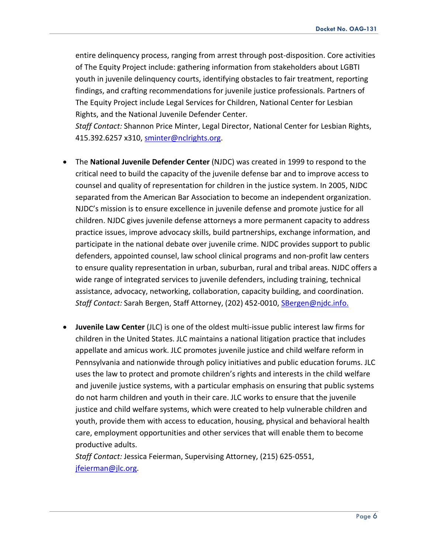entire delinquency process, ranging from arrest through post-disposition. Core activities of The Equity Project include: gathering information from stakeholders about LGBTI youth in juvenile delinquency courts, identifying obstacles to fair treatment, reporting findings, and crafting recommendations for juvenile justice professionals. Partners of The Equity Project include Legal Services for Children, National Center for Lesbian Rights, and the National Juvenile Defender Center.

*Staff Contact:* Shannon Price Minter, Legal Director, National Center for Lesbian Rights, 415.392.6257 x310, [sminter@nclrights.org.](mailto:sminter@nclrights.org)

- The **National Juvenile Defender Center** (NJDC) was created in 1999 to respond to the critical need to build the capacity of the juvenile defense bar and to improve access to counsel and quality of representation for children in the justice system. In 2005, NJDC separated from the American Bar Association to become an independent organization. NJDC's mission is to ensure excellence in juvenile defense and promote justice for all children. NJDC gives juvenile defense attorneys a more permanent capacity to address practice issues, improve advocacy skills, build partnerships, exchange information, and participate in the national debate over juvenile crime. NJDC provides support to public defenders, appointed counsel, law school clinical programs and non-profit law centers to ensure quality representation in urban, suburban, rural and tribal areas. NJDC offers a wide range of integrated services to juvenile defenders, including training, technical assistance, advocacy, networking, collaboration, capacity building, and coordination. *Staff Contact:* Sarah Bergen, Staff Attorney, (202) 452-0010, [SBergen@njdc.info.](mailto:SBergen@njdc.info)
- **Juvenile Law Center** (JLC) is one of the oldest multi-issue public interest law firms for children in the United States. JLC maintains a national litigation practice that includes appellate and amicus work. JLC promotes juvenile justice and child welfare reform in Pennsylvania and nationwide through policy initiatives and public education forums. JLC uses the law to protect and promote children's rights and interests in the child welfare and juvenile justice systems, with a particular emphasis on ensuring that public systems do not harm children and youth in their care. JLC works to ensure that the juvenile justice and child welfare systems, which were created to help vulnerable children and youth, provide them with access to education, housing, physical and behavioral health care, employment opportunities and other services that will enable them to become productive adults.

*Staff Contact:* Jessica Feierman, Supervising Attorney, (215) 625-0551, [jfeierman@jlc.org.](mailto:jfeierman@jlc.org)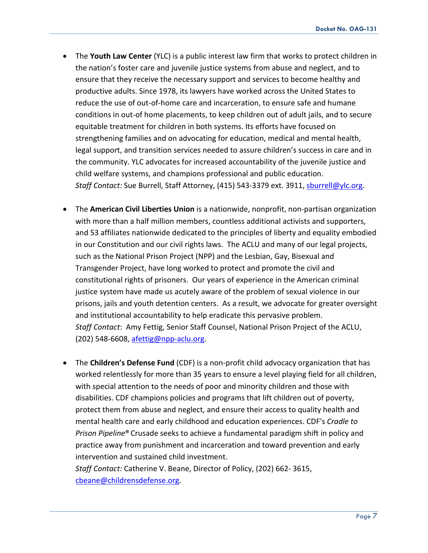- The **Youth Law Center** (YLC) is a public interest law firm that works to protect children in the nation's foster care and juvenile justice systems from abuse and neglect, and to ensure that they receive the necessary support and services to become healthy and productive adults. Since 1978, its lawyers have worked across the United States to reduce the use of out-of-home care and incarceration, to ensure safe and humane conditions in out-of home placements, to keep children out of adult jails, and to secure equitable treatment for children in both systems. Its efforts have focused on strengthening families and on advocating for education, medical and mental health, legal support, and transition services needed to assure children's success in care and in the community. YLC advocates for increased accountability of the juvenile justice and child welfare systems, and champions professional and public education. *Staff Contact:* Sue Burrell, Staff Attorney, (415) 543-3379 ext. 3911[, sburrell@ylc.org.](mailto:sburrell@ylc.org)
- The **American Civil Liberties Union** is a nationwide, nonprofit, non-partisan organization with more than a half million members, countless additional activists and supporters, and 53 affiliates nationwide dedicated to the principles of liberty and equality embodied in our Constitution and our civil rights laws. The ACLU and many of our legal projects, such as the National Prison Project (NPP) and the Lesbian, Gay, Bisexual and Transgender Project, have long worked to protect and promote the civil and constitutional rights of prisoners. Our years of experience in the American criminal justice system have made us acutely aware of the problem of sexual violence in our prisons, jails and youth detention centers. As a result, we advocate for greater oversight and institutional accountability to help eradicate this pervasive problem. *Staff Contact*: Amy Fettig, Senior Staff Counsel, National Prison Project of the ACLU, (202) 548-6608, [afettig@npp-aclu.org.](mailto:afettig@npp-aclu.org)
- The **Children's Defense Fund** (CDF) is a non-profit child advocacy organization that has worked relentlessly for more than 35 years to ensure a level playing field for all children, with special attention to the needs of poor and minority children and those with disabilities. CDF champions policies and programs that lift children out of poverty, protect them from abuse and neglect, and ensure their access to quality health and mental health care and early childhood and education experiences. CDF's *Cradle to Prison Pipeline*® Crusade seeks to achieve a fundamental paradigm shift in policy and practice away from punishment and incarceration and toward prevention and early intervention and sustained child investment.

*Staff Contact:* Catherine V. Beane, Director of Policy, (202) 662- 3615, [cbeane@childrensdefense.org.](mailto:cbeane@childrensdefense.org)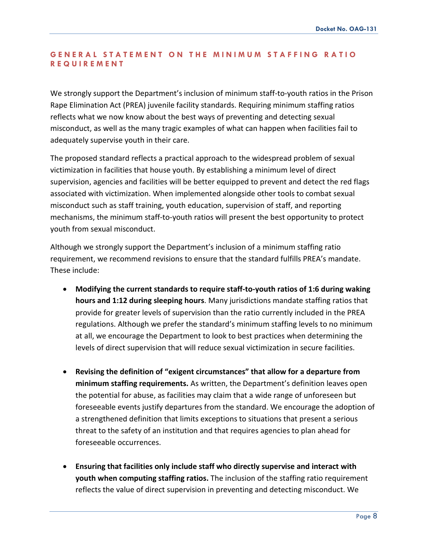## **GENERAL STATEMENT ON THE MIN IMUM STAFFING RATIO REQUIREMENT**

We strongly support the Department's inclusion of minimum staff-to-youth ratios in the Prison Rape Elimination Act (PREA) juvenile facility standards. Requiring minimum staffing ratios reflects what we now know about the best ways of preventing and detecting sexual misconduct, as well as the many tragic examples of what can happen when facilities fail to adequately supervise youth in their care.

The proposed standard reflects a practical approach to the widespread problem of sexual victimization in facilities that house youth. By establishing a minimum level of direct supervision, agencies and facilities will be better equipped to prevent and detect the red flags associated with victimization. When implemented alongside other tools to combat sexual misconduct such as staff training, youth education, supervision of staff, and reporting mechanisms, the minimum staff-to-youth ratios will present the best opportunity to protect youth from sexual misconduct.

Although we strongly support the Department's inclusion of a minimum staffing ratio requirement, we recommend revisions to ensure that the standard fulfills PREA's mandate. These include:

- **Modifying the current standards to require staff-to-youth ratios of 1:6 during waking hours and 1:12 during sleeping hours**. Many jurisdictions mandate staffing ratios that provide for greater levels of supervision than the ratio currently included in the PREA regulations. Although we prefer the standard's minimum staffing levels to no minimum at all, we encourage the Department to look to best practices when determining the levels of direct supervision that will reduce sexual victimization in secure facilities.
- **Revising the definition of "exigent circumstances" that allow for a departure from minimum staffing requirements.** As written, the Department's definition leaves open the potential for abuse, as facilities may claim that a wide range of unforeseen but foreseeable events justify departures from the standard. We encourage the adoption of a strengthened definition that limits exceptions to situations that present a serious threat to the safety of an institution and that requires agencies to plan ahead for foreseeable occurrences.
- **Ensuring that facilities only include staff who directly supervise and interact with youth when computing staffing ratios.** The inclusion of the staffing ratio requirement reflects the value of direct supervision in preventing and detecting misconduct. We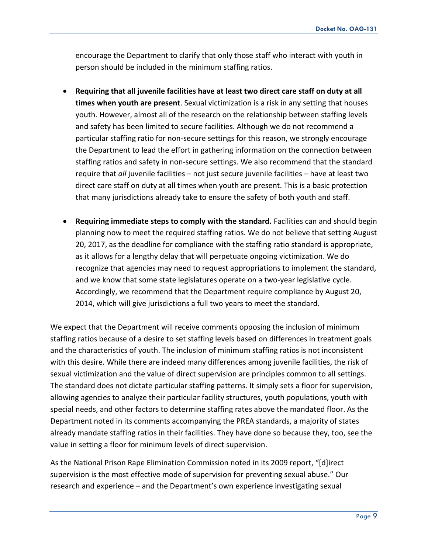encourage the Department to clarify that only those staff who interact with youth in person should be included in the minimum staffing ratios.

- **Requiring that all juvenile facilities have at least two direct care staff on duty at all times when youth are present**. Sexual victimization is a risk in any setting that houses youth. However, almost all of the research on the relationship between staffing levels and safety has been limited to secure facilities. Although we do not recommend a particular staffing ratio for non-secure settings for this reason, we strongly encourage the Department to lead the effort in gathering information on the connection between staffing ratios and safety in non-secure settings. We also recommend that the standard require that *all* juvenile facilities – not just secure juvenile facilities – have at least two direct care staff on duty at all times when youth are present. This is a basic protection that many jurisdictions already take to ensure the safety of both youth and staff.
- **Requiring immediate steps to comply with the standard.** Facilities can and should begin planning now to meet the required staffing ratios. We do not believe that setting August 20, 2017, as the deadline for compliance with the staffing ratio standard is appropriate, as it allows for a lengthy delay that will perpetuate ongoing victimization. We do recognize that agencies may need to request appropriations to implement the standard, and we know that some state legislatures operate on a two-year legislative cycle. Accordingly, we recommend that the Department require compliance by August 20, 2014, which will give jurisdictions a full two years to meet the standard.

We expect that the Department will receive comments opposing the inclusion of minimum staffing ratios because of a desire to set staffing levels based on differences in treatment goals and the characteristics of youth. The inclusion of minimum staffing ratios is not inconsistent with this desire. While there are indeed many differences among juvenile facilities, the risk of sexual victimization and the value of direct supervision are principles common to all settings. The standard does not dictate particular staffing patterns. It simply sets a floor for supervision, allowing agencies to analyze their particular facility structures, youth populations, youth with special needs, and other factors to determine staffing rates above the mandated floor. As the Department noted in its comments accompanying the PREA standards, a majority of states already mandate staffing ratios in their facilities. They have done so because they, too, see the value in setting a floor for minimum levels of direct supervision.

As the National Prison Rape Elimination Commission noted in its 2009 report, "[d]irect supervision is the most effective mode of supervision for preventing sexual abuse." Our research and experience – and the Department's own experience investigating sexual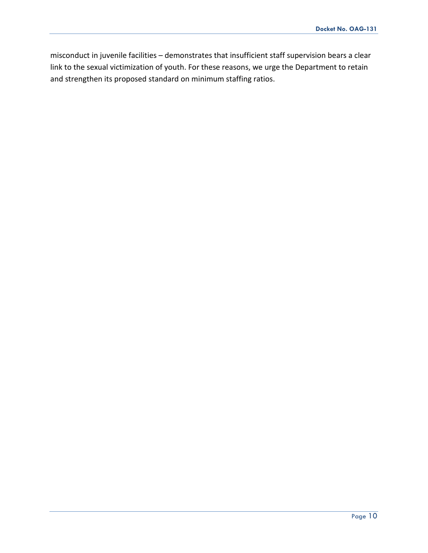misconduct in juvenile facilities – demonstrates that insufficient staff supervision bears a clear link to the sexual victimization of youth. For these reasons, we urge the Department to retain and strengthen its proposed standard on minimum staffing ratios.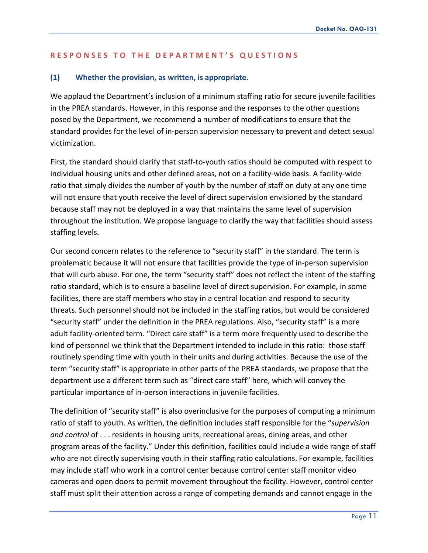#### **RESPONSES TO THE DEP ARTMENT ' S QUESTIONS**

#### **(1) Whether the provision, as written, is appropriate.**

We applaud the Department's inclusion of a minimum staffing ratio for secure juvenile facilities in the PREA standards. However, in this response and the responses to the other questions posed by the Department, we recommend a number of modifications to ensure that the standard provides for the level of in-person supervision necessary to prevent and detect sexual victimization.

First, the standard should clarify that staff-to-youth ratios should be computed with respect to individual housing units and other defined areas, not on a facility-wide basis. A facility-wide ratio that simply divides the number of youth by the number of staff on duty at any one time will not ensure that youth receive the level of direct supervision envisioned by the standard because staff may not be deployed in a way that maintains the same level of supervision throughout the institution. We propose language to clarify the way that facilities should assess staffing levels.

Our second concern relates to the reference to "security staff" in the standard. The term is problematic because it will not ensure that facilities provide the type of in-person supervision that will curb abuse. For one, the term "security staff" does not reflect the intent of the staffing ratio standard, which is to ensure a baseline level of direct supervision. For example, in some facilities, there are staff members who stay in a central location and respond to security threats. Such personnel should not be included in the staffing ratios, but would be considered "security staff" under the definition in the PREA regulations. Also, "security staff" is a more adult facility-oriented term. "Direct care staff" is a term more frequently used to describe the kind of personnel we think that the Department intended to include in this ratio: those staff routinely spending time with youth in their units and during activities. Because the use of the term "security staff" is appropriate in other parts of the PREA standards, we propose that the department use a different term such as "direct care staff" here, which will convey the particular importance of in-person interactions in juvenile facilities.

The definition of "security staff" is also overinclusive for the purposes of computing a minimum ratio of staff to youth. As written, the definition includes staff responsible for the "*supervision and control* of . . . residents in housing units, recreational areas, dining areas, and other program areas of the facility." Under this definition, facilities could include a wide range of staff who are not directly supervising youth in their staffing ratio calculations. For example, facilities may include staff who work in a control center because control center staff monitor video cameras and open doors to permit movement throughout the facility. However, control center staff must split their attention across a range of competing demands and cannot engage in the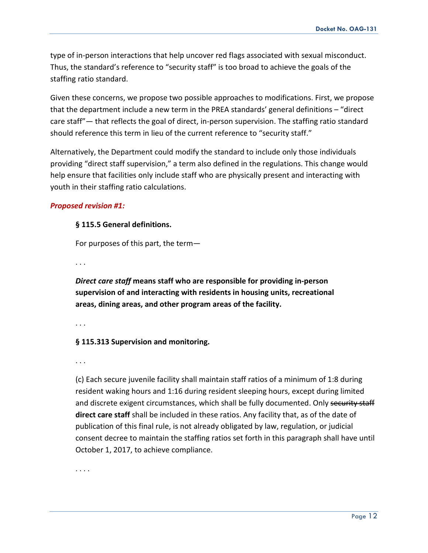type of in-person interactions that help uncover red flags associated with sexual misconduct. Thus, the standard's reference to "security staff" is too broad to achieve the goals of the staffing ratio standard.

Given these concerns, we propose two possible approaches to modifications. First, we propose that the department include a new term in the PREA standards' general definitions – "direct care staff"— that reflects the goal of direct, in-person supervision. The staffing ratio standard should reference this term in lieu of the current reference to "security staff."

Alternatively, the Department could modify the standard to include only those individuals providing "direct staff supervision," a term also defined in the regulations. This change would help ensure that facilities only include staff who are physically present and interacting with youth in their staffing ratio calculations.

## *Proposed revision #1:*

## **§ 115.5 General definitions.**

For purposes of this part, the term—

. . .

*Direct care staff* **means staff who are responsible for providing in-person supervision of and interacting with residents in housing units, recreational areas, dining areas, and other program areas of the facility.** 

. . .

## **§ 115.313 Supervision and monitoring.**

. . .

(c) Each secure juvenile facility shall maintain staff ratios of a minimum of 1:8 during resident waking hours and 1:16 during resident sleeping hours, except during limited and discrete exigent circumstances, which shall be fully documented. Only security staff **direct care staff** shall be included in these ratios. Any facility that, as of the date of publication of this final rule, is not already obligated by law, regulation, or judicial consent decree to maintain the staffing ratios set forth in this paragraph shall have until October 1, 2017, to achieve compliance.

. . . .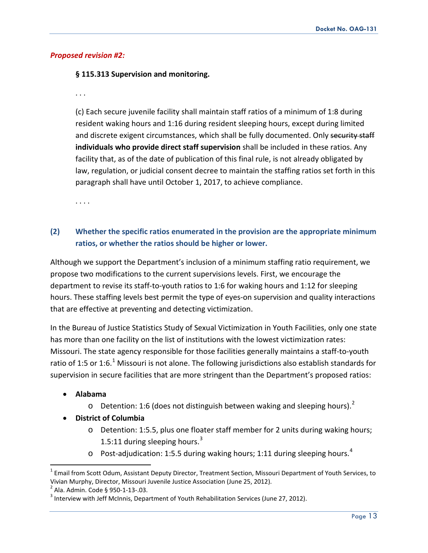## *Proposed revision #2:*

### **§ 115.313 Supervision and monitoring.**

. . .

(c) Each secure juvenile facility shall maintain staff ratios of a minimum of 1:8 during resident waking hours and 1:16 during resident sleeping hours, except during limited and discrete exigent circumstances, which shall be fully documented. Only security staff **individuals who provide direct staff supervision** shall be included in these ratios. Any facility that, as of the date of publication of this final rule, is not already obligated by law, regulation, or judicial consent decree to maintain the staffing ratios set forth in this paragraph shall have until October 1, 2017, to achieve compliance.

. . . .

## **(2) Whether the specific ratios enumerated in the provision are the appropriate minimum ratios, or whether the ratios should be higher or lower.**

Although we support the Department's inclusion of a minimum staffing ratio requirement, we propose two modifications to the current supervisions levels. First, we encourage the department to revise its staff-to-youth ratios to 1:6 for waking hours and 1:12 for sleeping hours. These staffing levels best permit the type of eyes-on supervision and quality interactions that are effective at preventing and detecting victimization.

<span id="page-12-3"></span>In the Bureau of Justice Statistics Study of Sexual Victimization in Youth Facilities, only one state has more than one facility on the list of institutions with the lowest victimization rates: Missouri. The state agency responsible for those facilities generally maintains a staff-to-youth ratio of [1](#page-12-0):5 or 1:6.<sup>1</sup> Missouri is not alone. The following jurisdictions also establish standards for supervision in secure facilities that are more stringent than the Department's proposed ratios:

## • **Alabama**

- $\circ$  Detention: 1:6 (does not distinguish between waking and sleeping hours).<sup>[2](#page-12-1)</sup>
- **District of Columbia**
	- o Detention: 1:5.5, plus one floater staff member for 2 units during waking hours; 1.5:11 during sleeping hours. $3$
	- $\circ$  Post-adjudication: 1:5.5 during waking hours; 1:11 during sleeping hours.<sup>[4](#page-12-3)</sup>

<span id="page-12-0"></span> $1$  Email from Scott Odum, Assistant Deputy Director, Treatment Section, Missouri Department of Youth Services, to Vivian Murphy, Director, Missouri Juvenile Justice Association (June 25, 2012).<br><sup>2</sup> Ala. Admin. Code § 950-1-13-.03. 3 Interview with Jeff McInnis, Department of Youth Rehabilitation Services (June 27, 2012).

<span id="page-12-1"></span>

<span id="page-12-2"></span>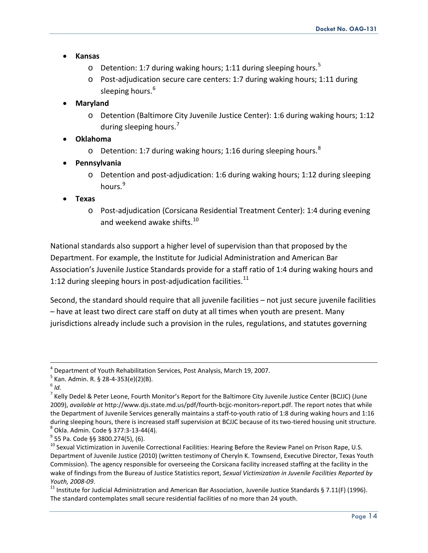- **Kansas**
	- $\circ$  Detention: 1:7 during waking hours; 1:11 during sleeping hours.<sup>[5](#page-13-0)</sup>
	- o Post-adjudication secure care centers: 1:7 during waking hours; 1:11 during sleeping hours.<sup>[6](#page-13-1)</sup>
- **Maryland**
	- o Detention (Baltimore City Juvenile Justice Center): 1:6 during waking hours; 1:12 during sleeping hours.<sup>[7](#page-13-2)</sup>
- **Oklahoma**
	- $\circ$  Detention: 1:7 during waking hours; 1:16 during sleeping hours.<sup>[8](#page-13-3)</sup>
- **Pennsylvania**
	- o Detention and post-adjudication: 1:6 during waking hours; 1:12 during sleeping hours.<sup>[9](#page-13-4)</sup>
- **Texas**
	- o Post-adjudication (Corsicana Residential Treatment Center): 1:4 during evening and weekend awake shifts.<sup>[10](#page-13-5)</sup>

National standards also support a higher level of supervision than that proposed by the Department. For example, the Institute for Judicial Administration and American Bar Association's Juvenile Justice Standards provide for a staff ratio of 1:4 during waking hours and 1:12 during sleeping hours in post-adjudication facilities. $^{11}$  $^{11}$  $^{11}$ 

Second, the standard should require that all juvenile facilities – not just secure juvenile facilities – have at least two direct care staff on duty at all times when youth are present. Many jurisdictions already include such a provision in the rules, regulations, and statutes governing

<span id="page-13-0"></span><sup>&</sup>lt;sup>4</sup> Department of Youth Rehabilitation Services, Post Analysis, March 19, 2007.<br><sup>5</sup> Kan. Admin. R. § 28-4-353(e)(2)(B).<br><sup>6</sup> *Id.* 

<span id="page-13-2"></span><span id="page-13-1"></span> $^7$  Kelly Dedel & Peter Leone, Fourth Monitor's Report for the Baltimore City Juvenile Justice Center (BCJJC) (June 2009), *available at* http://www.djs.state.md.us/pdf/fourth-bcjjc-monitors-report.pdf. The report notes that while the Department of Juvenile Services generally maintains a staff-to-youth ratio of 1:8 during waking hours and 1:16 during sleeping hours, there is increased staff supervision at BCJJC because of its two-tiered housing unit structure.<br>
<sup>8</sup> Okla. Admin. Code § 377:3-13-44(4).<br>
<sup>9</sup> 55 Pa. Code §§ 3800.274(5), (6).<br>
<sup>10</sup> Sexual Victimizati

<span id="page-13-4"></span><span id="page-13-3"></span>

<span id="page-13-5"></span>Department of Juvenile Justice (2010) (written testimony of Cheryln K. Townsend, Executive Director, Texas Youth Commission). The agency responsible for overseeing the Corsicana facility increased staffing at the facility in the wake of findings from the Bureau of Justice Statistics report, *Sexual Victimization in Juvenile Facilities Reported by* 

<span id="page-13-6"></span>*Youth, 2008-09.*<br><sup>11</sup> Institute for Judicial Administration and American Bar Association, Juvenile Justice Standards § 7.11(F) (1996). The standard contemplates small secure residential facilities of no more than 24 youth.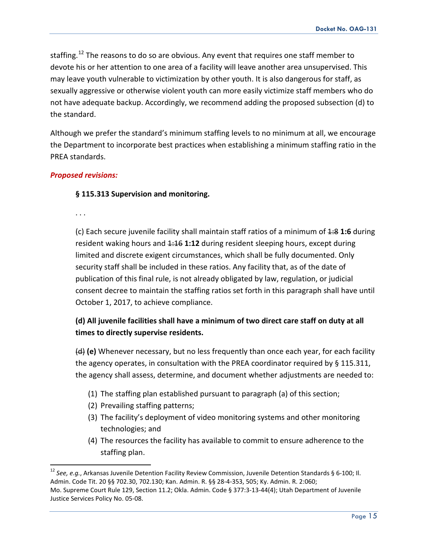staffing.<sup>[12](#page-14-0)</sup> The reasons to do so are obvious. Any event that requires one staff member to devote his or her attention to one area of a facility will leave another area unsupervised. This may leave youth vulnerable to victimization by other youth. It is also dangerous for staff, as sexually aggressive or otherwise violent youth can more easily victimize staff members who do not have adequate backup. Accordingly, we recommend adding the proposed subsection (d) to the standard.

Although we prefer the standard's minimum staffing levels to no minimum at all, we encourage the Department to incorporate best practices when establishing a minimum staffing ratio in the PREA standards.

#### *Proposed revisions:*

### **§ 115.313 Supervision and monitoring.**

. . .

(c) Each secure juvenile facility shall maintain staff ratios of a minimum of 1:8 **1:6** during resident waking hours and  $\frac{1:16}{1:12}$  during resident sleeping hours, except during limited and discrete exigent circumstances, which shall be fully documented. Only security staff shall be included in these ratios. Any facility that, as of the date of publication of this final rule, is not already obligated by law, regulation, or judicial consent decree to maintain the staffing ratios set forth in this paragraph shall have until October 1, 2017, to achieve compliance.

## **(d) All juvenile facilities shall have a minimum of two direct care staff on duty at all times to directly supervise residents.**

(d) **(e)** Whenever necessary, but no less frequently than once each year, for each facility the agency operates, in consultation with the PREA coordinator required by § 115.311, the agency shall assess, determine, and document whether adjustments are needed to:

- (1) The staffing plan established pursuant to paragraph (a) of this section;
- (2) Prevailing staffing patterns;
- (3) The facility's deployment of video monitoring systems and other monitoring technologies; and
- (4) The resources the facility has available to commit to ensure adherence to the staffing plan.

<span id="page-14-0"></span><sup>12</sup> *See, e.g.*, Arkansas Juvenile Detention Facility Review Commission, Juvenile Detention Standards § 6-100; Il. Admin. Code Tit. 20 §§ 702.30, 702.130; Kan. Admin. R. §§ 28-4-353, 505; Ky. Admin. R. 2:060; Mo. Supreme Court Rule 129, Section 11.2; Okla. Admin. Code § 377:3-13-44(4); Utah Department of Juvenile Justice Services Policy No. 05-08.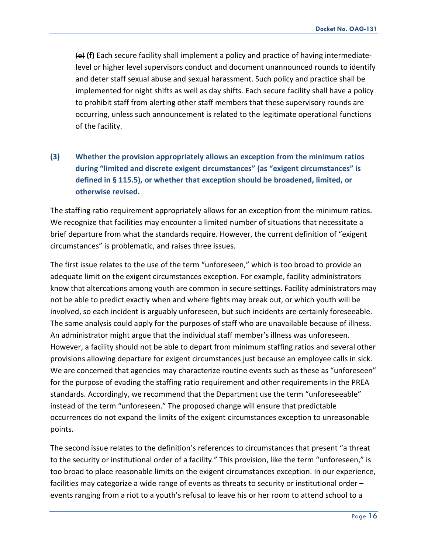(e) **(f)** Each secure facility shall implement a policy and practice of having intermediatelevel or higher level supervisors conduct and document unannounced rounds to identify and deter staff sexual abuse and sexual harassment. Such policy and practice shall be implemented for night shifts as well as day shifts. Each secure facility shall have a policy to prohibit staff from alerting other staff members that these supervisory rounds are occurring, unless such announcement is related to the legitimate operational functions of the facility.

# **(3) Whether the provision appropriately allows an exception from the minimum ratios during "limited and discrete exigent circumstances" (as "exigent circumstances" is defined in § 115.5), or whether that exception should be broadened, limited, or otherwise revised.**

The staffing ratio requirement appropriately allows for an exception from the minimum ratios. We recognize that facilities may encounter a limited number of situations that necessitate a brief departure from what the standards require. However, the current definition of "exigent circumstances" is problematic, and raises three issues.

The first issue relates to the use of the term "unforeseen," which is too broad to provide an adequate limit on the exigent circumstances exception. For example, facility administrators know that altercations among youth are common in secure settings. Facility administrators may not be able to predict exactly when and where fights may break out, or which youth will be involved, so each incident is arguably unforeseen, but such incidents are certainly foreseeable. The same analysis could apply for the purposes of staff who are unavailable because of illness. An administrator might argue that the individual staff member's illness was unforeseen. However, a facility should not be able to depart from minimum staffing ratios and several other provisions allowing departure for exigent circumstances just because an employee calls in sick. We are concerned that agencies may characterize routine events such as these as "unforeseen" for the purpose of evading the staffing ratio requirement and other requirements in the PREA standards. Accordingly, we recommend that the Department use the term "unforeseeable" instead of the term "unforeseen." The proposed change will ensure that predictable occurrences do not expand the limits of the exigent circumstances exception to unreasonable points.

The second issue relates to the definition's references to circumstances that present "a threat to the security or institutional order of a facility." This provision, like the term "unforeseen," is too broad to place reasonable limits on the exigent circumstances exception. In our experience, facilities may categorize a wide range of events as threats to security or institutional order – events ranging from a riot to a youth's refusal to leave his or her room to attend school to a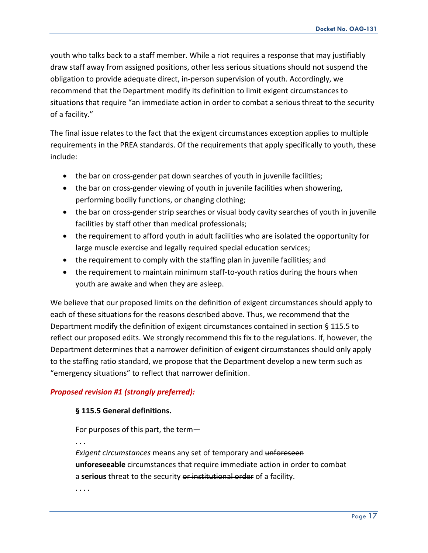youth who talks back to a staff member. While a riot requires a response that may justifiably draw staff away from assigned positions, other less serious situations should not suspend the obligation to provide adequate direct, in-person supervision of youth. Accordingly, we recommend that the Department modify its definition to limit exigent circumstances to situations that require "an immediate action in order to combat a serious threat to the security of a facility."

The final issue relates to the fact that the exigent circumstances exception applies to multiple requirements in the PREA standards. Of the requirements that apply specifically to youth, these include:

- the bar on cross-gender pat down searches of youth in juvenile facilities;
- the bar on cross-gender viewing of youth in juvenile facilities when showering, performing bodily functions, or changing clothing;
- the bar on cross-gender strip searches or visual body cavity searches of youth in juvenile facilities by staff other than medical professionals;
- the requirement to afford youth in adult facilities who are isolated the opportunity for large muscle exercise and legally required special education services;
- the requirement to comply with the staffing plan in juvenile facilities; and
- the requirement to maintain minimum staff-to-youth ratios during the hours when youth are awake and when they are asleep.

We believe that our proposed limits on the definition of exigent circumstances should apply to each of these situations for the reasons described above. Thus, we recommend that the Department modify the definition of exigent circumstances contained in section § 115.5 to reflect our proposed edits. We strongly recommend this fix to the regulations. If, however, the Department determines that a narrower definition of exigent circumstances should only apply to the staffing ratio standard, we propose that the Department develop a new term such as "emergency situations" to reflect that narrower definition.

#### *Proposed revision #1 (strongly preferred):*

#### **§ 115.5 General definitions.**

For purposes of this part, the term—

. . .

*Exigent circumstances* means any set of temporary and unforeseen **unforeseeable** circumstances that require immediate action in order to combat a **serious** threat to the security or institutional order of a facility.

. . . .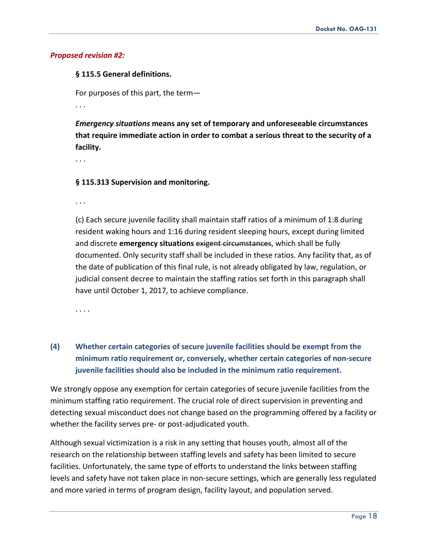#### *Proposed revision #2:*

#### **§ 115.5 General definitions.**

For purposes of this part, the term—

. . .

*Emergency situations* **means any set of temporary and unforeseeable circumstances that require immediate action in order to combat a serious threat to the security of a facility.**

. . .

#### **§ 115.313 Supervision and monitoring.**

. . .

(c) Each secure juvenile facility shall maintain staff ratios of a minimum of 1:8 during resident waking hours and 1:16 during resident sleeping hours, except during limited and discrete **emergency situations** exigent circumstances, which shall be fully documented. Only security staff shall be included in these ratios. Any facility that, as of the date of publication of this final rule, is not already obligated by law, regulation, or judicial consent decree to maintain the staffing ratios set forth in this paragraph shall have until October 1, 2017, to achieve compliance.

. . . .

# **(4) Whether certain categories of secure juvenile facilities should be exempt from the minimum ratio requirement or, conversely, whether certain categories of non-secure juvenile facilities should also be included in the minimum ratio requirement.**

We strongly oppose any exemption for certain categories of secure juvenile facilities from the minimum staffing ratio requirement. The crucial role of direct supervision in preventing and detecting sexual misconduct does not change based on the programming offered by a facility or whether the facility serves pre- or post-adjudicated youth.

Although sexual victimization is a risk in any setting that houses youth, almost all of the research on the relationship between staffing levels and safety has been limited to secure facilities. Unfortunately, the same type of efforts to understand the links between staffing levels and safety have not taken place in non-secure settings, which are generally less regulated and more varied in terms of program design, facility layout, and population served.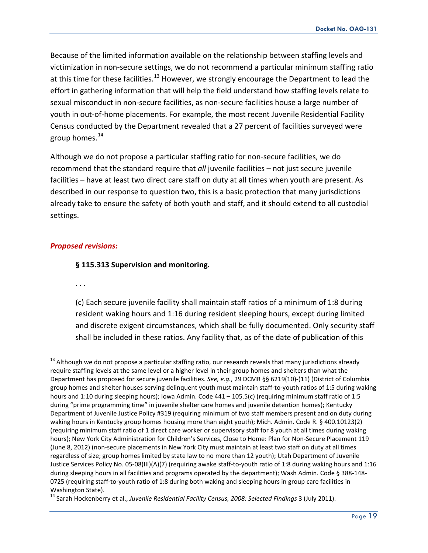Because of the limited information available on the relationship between staffing levels and victimization in non-secure settings, we do not recommend a particular minimum staffing ratio at this time for these facilities.<sup>[13](#page-18-0)</sup> However, we strongly encourage the Department to lead the effort in gathering information that will help the field understand how staffing levels relate to sexual misconduct in non-secure facilities, as non-secure facilities house a large number of youth in out-of-home placements. For example, the most recent Juvenile Residential Facility Census conducted by the Department revealed that a 27 percent of facilities surveyed were group homes. $^{14}$  $^{14}$  $^{14}$ 

Although we do not propose a particular staffing ratio for non-secure facilities, we do recommend that the standard require that *all* juvenile facilities – not just secure juvenile facilities – have at least two direct care staff on duty at all times when youth are present. As described in our response to question two, this is a basic protection that many jurisdictions already take to ensure the safety of both youth and staff, and it should extend to all custodial settings.

#### *Proposed revisions:*

#### **§ 115.313 Supervision and monitoring.**

. . .

(c) Each secure juvenile facility shall maintain staff ratios of a minimum of 1:8 during resident waking hours and 1:16 during resident sleeping hours, except during limited and discrete exigent circumstances, which shall be fully documented. Only security staff shall be included in these ratios. Any facility that, as of the date of publication of this

<span id="page-18-0"></span> $13$  Although we do not propose a particular staffing ratio, our research reveals that many jurisdictions already require staffing levels at the same level or a higher level in their group homes and shelters than what the Department has proposed for secure juvenile facilities. *See, e.g.*, 29 DCMR §§ 6219(10)-(11) (District of Columbia group homes and shelter houses serving delinquent youth must maintain staff-to-youth ratios of 1:5 during waking hours and 1:10 during sleeping hours); Iowa Admin. Code 441 – 105.5(c) (requiring minimum staff ratio of 1:5 during "prime programming time" in juvenile shelter care homes and juvenile detention homes); Kentucky Department of Juvenile Justice Policy #319 (requiring minimum of two staff members present and on duty during waking hours in Kentucky group homes housing more than eight youth); Mich. Admin. Code R. § 400.10123(2) (requiring minimum staff ratio of 1 direct care worker or supervisory staff for 8 youth at all times during waking hours); New York City Administration for Children's Services, Close to Home: Plan for Non-Secure Placement 119 (June 8, 2012) (non-secure placements in New York City must maintain at least two staff on duty at all times regardless of size; group homes limited by state law to no more than 12 youth); Utah Department of Juvenile Justice Services Policy No. 05-08(III)(A)(7) (requiring awake staff-to-youth ratio of 1:8 during waking hours and 1:16 during sleeping hours in all facilities and programs operated by the department); Wash Admin. Code § 388-148- 0725 (requiring staff-to-youth ratio of 1:8 during both waking and sleeping hours in group care facilities in Washington State).

<span id="page-18-1"></span><sup>&</sup>lt;sup>14</sup> Sarah Hockenberry et al., *Juvenile Residential Facility Census, 2008: Selected Findings* 3 (July 2011).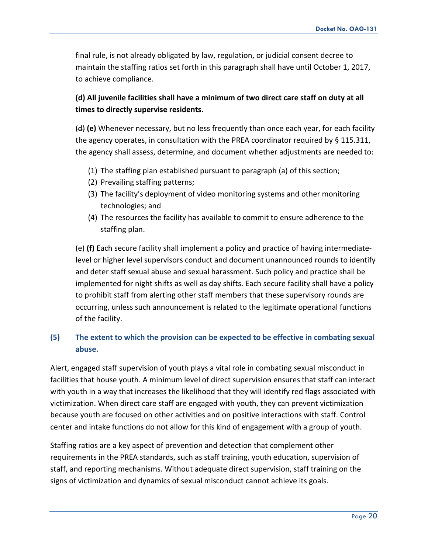final rule, is not already obligated by law, regulation, or judicial consent decree to maintain the staffing ratios set forth in this paragraph shall have until October 1, 2017, to achieve compliance.

## **(d) All juvenile facilities shall have a minimum of two direct care staff on duty at all times to directly supervise residents.**

(d) **(e)** Whenever necessary, but no less frequently than once each year, for each facility the agency operates, in consultation with the PREA coordinator required by § 115.311, the agency shall assess, determine, and document whether adjustments are needed to:

- (1) The staffing plan established pursuant to paragraph (a) of this section;
- (2) Prevailing staffing patterns;
- (3) The facility's deployment of video monitoring systems and other monitoring technologies; and
- (4) The resources the facility has available to commit to ensure adherence to the staffing plan.

(e) **(f)** Each secure facility shall implement a policy and practice of having intermediatelevel or higher level supervisors conduct and document unannounced rounds to identify and deter staff sexual abuse and sexual harassment. Such policy and practice shall be implemented for night shifts as well as day shifts. Each secure facility shall have a policy to prohibit staff from alerting other staff members that these supervisory rounds are occurring, unless such announcement is related to the legitimate operational functions of the facility.

## **(5) The extent to which the provision can be expected to be effective in combating sexual abuse.**

Alert, engaged staff supervision of youth plays a vital role in combating sexual misconduct in facilities that house youth. A minimum level of direct supervision ensures that staff can interact with youth in a way that increases the likelihood that they will identify red flags associated with victimization. When direct care staff are engaged with youth, they can prevent victimization because youth are focused on other activities and on positive interactions with staff. Control center and intake functions do not allow for this kind of engagement with a group of youth.

Staffing ratios are a key aspect of prevention and detection that complement other requirements in the PREA standards, such as staff training, youth education, supervision of staff, and reporting mechanisms. Without adequate direct supervision, staff training on the signs of victimization and dynamics of sexual misconduct cannot achieve its goals.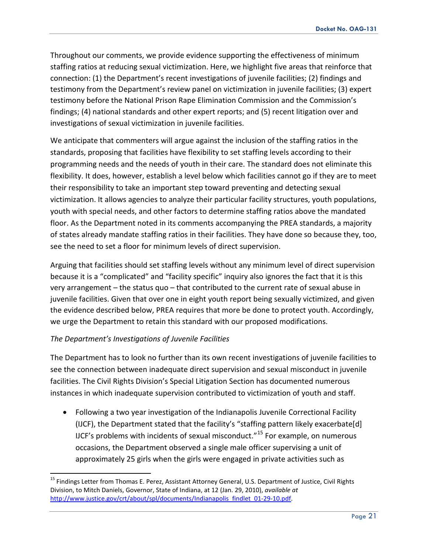Throughout our comments, we provide evidence supporting the effectiveness of minimum staffing ratios at reducing sexual victimization. Here, we highlight five areas that reinforce that connection: (1) the Department's recent investigations of juvenile facilities; (2) findings and testimony from the Department's review panel on victimization in juvenile facilities; (3) expert testimony before the National Prison Rape Elimination Commission and the Commission's findings; (4) national standards and other expert reports; and (5) recent litigation over and investigations of sexual victimization in juvenile facilities.

We anticipate that commenters will argue against the inclusion of the staffing ratios in the standards, proposing that facilities have flexibility to set staffing levels according to their programming needs and the needs of youth in their care. The standard does not eliminate this flexibility. It does, however, establish a level below which facilities cannot go if they are to meet their responsibility to take an important step toward preventing and detecting sexual victimization. It allows agencies to analyze their particular facility structures, youth populations, youth with special needs, and other factors to determine staffing ratios above the mandated floor. As the Department noted in its comments accompanying the PREA standards, a majority of states already mandate staffing ratios in their facilities. They have done so because they, too, see the need to set a floor for minimum levels of direct supervision.

Arguing that facilities should set staffing levels without any minimum level of direct supervision because it is a "complicated" and "facility specific" inquiry also ignores the fact that it is this very arrangement – the status quo – that contributed to the current rate of sexual abuse in juvenile facilities. Given that over one in eight youth report being sexually victimized, and given the evidence described below, PREA requires that more be done to protect youth. Accordingly, we urge the Department to retain this standard with our proposed modifications.

#### *The Department's Investigations of Juvenile Facilities*

The Department has to look no further than its own recent investigations of juvenile facilities to see the connection between inadequate direct supervision and sexual misconduct in juvenile facilities. The Civil Rights Division's Special Litigation Section has documented numerous instances in which inadequate supervision contributed to victimization of youth and staff.

• Following a two year investigation of the Indianapolis Juvenile Correctional Facility (IJCF), the Department stated that the facility's "staffing pattern likely exacerbate[d] IJCF's problems with incidents of sexual misconduct."<sup>[15](#page-20-0)</sup> For example, on numerous occasions, the Department observed a single male officer supervising a unit of approximately 25 girls when the girls were engaged in private activities such as

<span id="page-20-0"></span><sup>&</sup>lt;sup>15</sup> Findings Letter from Thomas E. Perez, Assistant Attorney General, U.S. Department of Justice, Civil Rights Division, to Mitch Daniels, Governor, State of Indiana, at 12 (Jan. 29, 2010), *available at*  [http://www.justice.gov/crt/about/spl/documents/Indianapolis\\_findlet\\_01-29-10.pdf.](http://www.justice.gov/crt/about/spl/documents/Indianapolis_findlet_01-29-10.pdf)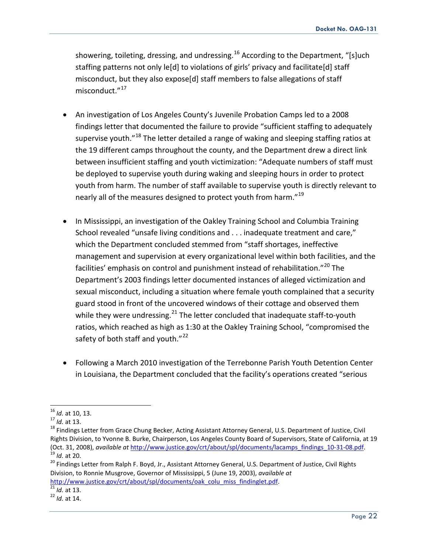showering, toileting, dressing, and undressing.<sup>[16](#page-21-0)</sup> According to the Department, "[s]uch staffing patterns not only le[d] to violations of girls' privacy and facilitate[d] staff misconduct, but they also expose[d] staff members to false allegations of staff misconduct."<sup>[17](#page-21-1)</sup>

- An investigation of Los Angeles County's Juvenile Probation Camps led to a 2008 findings letter that documented the failure to provide "sufficient staffing to adequately supervise youth."<sup>[18](#page-21-2)</sup> The letter detailed a range of waking and sleeping staffing ratios at the 19 different camps throughout the county, and the Department drew a direct link between insufficient staffing and youth victimization: "Adequate numbers of staff must be deployed to supervise youth during waking and sleeping hours in order to protect youth from harm. The number of staff available to supervise youth is directly relevant to nearly all of the measures designed to protect youth from harm."<sup>[19](#page-21-3)</sup>
- In Mississippi, an investigation of the Oakley Training School and Columbia Training School revealed "unsafe living conditions and . . . inadequate treatment and care," which the Department concluded stemmed from "staff shortages, ineffective management and supervision at every organizational level within both facilities, and the facilities' emphasis on control and punishment instead of rehabilitation."<sup>[20](#page-21-4)</sup> The Department's 2003 findings letter documented instances of alleged victimization and sexual misconduct, including a situation where female youth complained that a security guard stood in front of the uncovered windows of their cottage and observed them while they were undressing.<sup>[21](#page-21-5)</sup> The letter concluded that inadequate staff-to-youth ratios, which reached as high as 1:30 at the Oakley Training School, "compromised the safety of both staff and youth."<sup>[22](#page-21-6)</sup>
- Following a March 2010 investigation of the Terrebonne Parish Youth Detention Center in Louisiana, the Department concluded that the facility's operations created "serious

<span id="page-21-2"></span>

<span id="page-21-1"></span><span id="page-21-0"></span><sup>&</sup>lt;sup>16</sup> *Id.* at 10, 13.<br><sup>17</sup> *Id.* at 13.<br><sup>18</sup> Findings Letter from Grace Chung Becker, Acting Assistant Attorney General, U.S. Department of Justice, Civil Rights Division, to Yvonne B. Burke, Chairperson, Los Angeles County Board of Supervisors, State of California, at 19<br>(Oct. 31, 2008), available at http://www.justice.gov/crt/about/spl/documents/lacamps findings 10-31-08.p

<span id="page-21-4"></span><span id="page-21-3"></span><sup>&</sup>lt;sup>19</sup> Id. at 20.<br><sup>20</sup> Findings Letter from Ralph F. Boyd, Jr., Assistant Attorney General, U.S. Department of Justice, Civil Rights Division, to Ronnie Musgrove, Governor of Mississippi, 5 (June 19, 2003), *available at*  [http://www.justice.gov/crt/about/spl/documents/oak\\_colu\\_miss\\_findinglet.pdf.](http://www.justice.gov/crt/about/spl/documents/oak_colu_miss_findinglet.pdf)<br><sup>21</sup> *Id.* at 13. <sup>22</sup> *Id.* at 14

<span id="page-21-5"></span>

<span id="page-21-6"></span>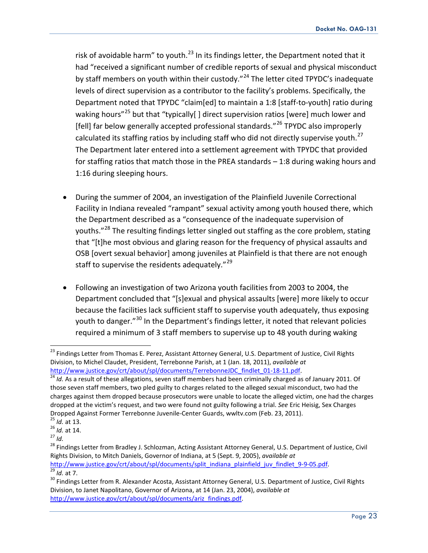risk of avoidable harm" to youth. $^{23}$  $^{23}$  $^{23}$  In its findings letter, the Department noted that it had "received a significant number of credible reports of sexual and physical misconduct by staff members on youth within their custody."<sup>[24](#page-22-1)</sup> The letter cited TPYDC's inadequate levels of direct supervision as a contributor to the facility's problems. Specifically, the Department noted that TPYDC "claim[ed] to maintain a 1:8 [staff-to-youth] ratio during waking hours"<sup>[25](#page-22-2)</sup> but that "typically[] direct supervision ratios [were] much lower and [fell] far below generally accepted professional standards."<sup>[26](#page-22-3)</sup> TPYDC also improperly calculated its staffing ratios by including staff who did not directly supervise youth. $^{27}$  $^{27}$  $^{27}$ The Department later entered into a settlement agreement with TPYDC that provided for staffing ratios that match those in the PREA standards – 1:8 during waking hours and 1:16 during sleeping hours.

- During the summer of 2004, an investigation of the Plainfield Juvenile Correctional Facility in Indiana revealed "rampant" sexual activity among youth housed there, which the Department described as a "consequence of the inadequate supervision of youths."<sup>[28](#page-22-5)</sup> The resulting findings letter singled out staffing as the core problem, stating that "[t]he most obvious and glaring reason for the frequency of physical assaults and OSB [overt sexual behavior] among juveniles at Plainfield is that there are not enough staff to supervise the residents adequately."<sup>[29](#page-22-6)</sup>
- Following an investigation of two Arizona youth facilities from 2003 to 2004, the Department concluded that "[s]exual and physical assaults [were] more likely to occur because the facilities lack sufficient staff to supervise youth adequately, thus exposing youth to danger."<sup>[30](#page-22-7)</sup> In the Department's findings letter, it noted that relevant policies required a minimum of 3 staff members to supervise up to 48 youth during waking

<span id="page-22-0"></span><sup>&</sup>lt;sup>23</sup> Findings Letter from Thomas E. Perez, Assistant Attorney General, U.S. Department of Justice, Civil Rights Division, to Michel Claudet, President, Terrebonne Parish, at 1 (Jan. 18, 2011), *available at*  [http://www.justice.gov/crt/about/spl/documents/TerrebonneJDC\\_findlet\\_01-18-11.pdf.](http://www.justice.gov/crt/about/spl/documents/TerrebonneJDC_findlet_01-18-11.pdf)<br><sup>24</sup> *Id.* As a result of these allegations, seven staff members had been criminally charged as of January 2011. Of

<span id="page-22-1"></span>those seven staff members, two pled guilty to charges related to the alleged sexual misconduct, two had the charges against them dropped because prosecutors were unable to locate the alleged victim, one had the charges dropped at the victim's request, and two were found not guilty following a trial. *See* Eric Heisig, Sex Charges Dropped Against Former Terrebonne Juvenile-Center Guards, wwltv.com (Feb. 23, 2011).<br><sup>25</sup> *Id.* at 13.<br><sup>26</sup> *Id.* at 14.<br><sup>27</sup> *Id.* 

<span id="page-22-2"></span>

<span id="page-22-3"></span>

<span id="page-22-5"></span><span id="page-22-4"></span><sup>&</sup>lt;sup>28</sup> Findings Letter from Bradley J. Schlozman, Acting Assistant Attorney General, U.S. Department of Justice, Civil Rights Division, to Mitch Daniels, Governor of Indiana, at 5 (Sept. 9, 2005), *available at*  http://www.justice.gov/crt/about/spl/documents/split indiana plainfield juv findlet 9-9-05.pdf.<br>
<sup>29</sup> Id. at 7.<br>
<sup>30</sup> Findings Letter from R. Alexander Acosta, Assistant Attorney General, U.S. Department of Justice, Civil

<span id="page-22-7"></span><span id="page-22-6"></span>Division, to Janet Napolitano, Governor of Arizona, at 14 (Jan. 23, 2004), *available at*  [http://www.justice.gov/crt/about/spl/documents/ariz\\_findings.pdf.](http://www.justice.gov/crt/about/spl/documents/ariz_findings.pdf)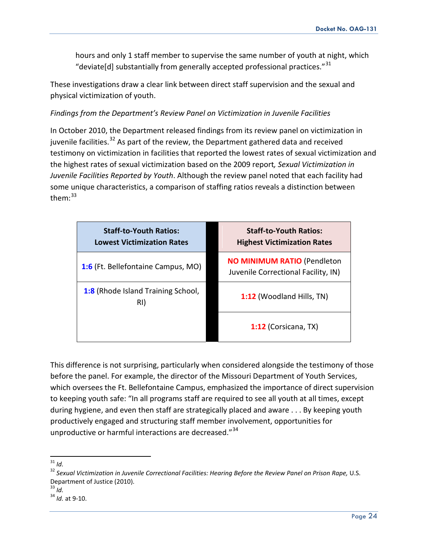hours and only 1 staff member to supervise the same number of youth at night, which "deviate[d] substantially from generally accepted professional practices." $^{31}$  $^{31}$  $^{31}$ 

These investigations draw a clear link between direct staff supervision and the sexual and physical victimization of youth.

### *Findings from the Department's Review Panel on Victimization in Juvenile Facilities*

In October 2010, the Department released findings from its review panel on victimization in juvenile facilities.<sup>[32](#page-23-1)</sup> As part of the review, the Department gathered data and received testimony on victimization in facilities that reported the lowest rates of sexual victimization and the highest rates of sexual victimization based on the 2009 report*, Sexual Victimization in Juvenile Facilities Reported by Youth*. Although the review panel noted that each facility had some unique characteristics, a comparison of staffing ratios reveals a distinction between them: [33](#page-23-2)

| <b>Staff-to-Youth Ratios:</b><br><b>Lowest Victimization Rates</b> | <b>Staff-to-Youth Ratios:</b><br><b>Highest Victimization Rates</b>       |
|--------------------------------------------------------------------|---------------------------------------------------------------------------|
| 1:6 (Ft. Bellefontaine Campus, MO)                                 | <b>NO MINIMUM RATIO (Pendleton</b><br>Juvenile Correctional Facility, IN) |
| <b>1:8 (Rhode Island Training School,</b><br>RI)                   | 1:12 (Woodland Hills, TN)                                                 |
|                                                                    | 1:12 (Corsicana, TX)                                                      |

This difference is not surprising, particularly when considered alongside the testimony of those before the panel. For example, the director of the Missouri Department of Youth Services, which oversees the Ft. Bellefontaine Campus, emphasized the importance of direct supervision to keeping youth safe: "In all programs staff are required to see all youth at all times, except during hygiene, and even then staff are strategically placed and aware . . . By keeping youth productively engaged and structuring staff member involvement, opportunities for unproductive or harmful interactions are decreased."<sup>[34](#page-23-3)</sup>

<span id="page-23-0"></span>31 *Id.*

<span id="page-23-1"></span><sup>32</sup> *Sexual Victimization in Juvenile Correctional Facilities: Hearing Before the Review Panel on Prison Rape,* U.S. Department of Justice (2010).

<span id="page-23-2"></span> $33$  *Id.* 

<span id="page-23-3"></span><sup>34</sup> *Id.* at 9-10.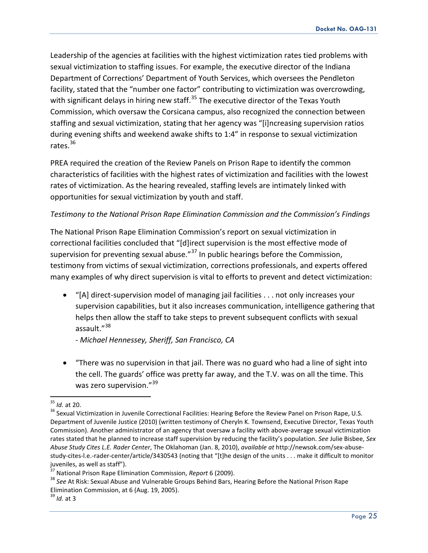Leadership of the agencies at facilities with the highest victimization rates tied problems with sexual victimization to staffing issues. For example, the executive director of the Indiana Department of Corrections' Department of Youth Services, which oversees the Pendleton facility, stated that the "number one factor" contributing to victimization was overcrowding, with significant delays in hiring new staff. $35$  The executive director of the Texas Youth Commission, which oversaw the Corsicana campus, also recognized the connection between staffing and sexual victimization, stating that her agency was "[i]ncreasing supervision ratios during evening shifts and weekend awake shifts to 1:4" in response to sexual victimization rates.<sup>[36](#page-24-1)</sup>

PREA required the creation of the Review Panels on Prison Rape to identify the common characteristics of facilities with the highest rates of victimization and facilities with the lowest rates of victimization. As the hearing revealed, staffing levels are intimately linked with opportunities for sexual victimization by youth and staff.

## *Testimony to the National Prison Rape Elimination Commission and the Commission's Findings*

The National Prison Rape Elimination Commission's report on sexual victimization in correctional facilities concluded that "[d]irect supervision is the most effective mode of supervision for preventing sexual abuse."<sup>[37](#page-24-2)</sup> In public hearings before the Commission, testimony from victims of sexual victimization, corrections professionals, and experts offered many examples of why direct supervision is vital to efforts to prevent and detect victimization:

- "[A] direct-supervision model of managing jail facilities . . . not only increases your supervision capabilities, but it also increases communication, intelligence gathering that helps then allow the staff to take steps to prevent subsequent conflicts with sexual assault."<sup>[38](#page-24-3)</sup>
	- *- Michael Hennessey, Sheriff, San Francisco, CA*
- "There was no supervision in that jail. There was no guard who had a line of sight into the cell. The guards' office was pretty far away, and the T.V. was on all the time. This was zero supervision."<sup>[39](#page-24-4)</sup>

<span id="page-24-1"></span><span id="page-24-0"></span><sup>&</sup>lt;sup>35</sup> *Id.* at 20.<br><sup>36</sup> Sexual Victimization in Juvenile Correctional Facilities: Hearing Before the Review Panel on Prison Rape, U.S. Department of Juvenile Justice (2010) (written testimony of Cheryln K. Townsend, Executive Director, Texas Youth Commission). Another administrator of an agency that oversaw a facility with above-average sexual victimization rates stated that he planned to increase staff supervision by reducing the facility's population. *See* Julie Bisbee, *Sex Abuse Study Cites L.E. Rader Center*, The Oklahoman (Jan. 8, 2010), *available at* http://newsok.com/sex-abusestudy-cites-l.e.-rader-center/article/3430543 (noting that "[t]he design of the units . . . make it difficult to monitor juveniles, as well as staff").<br><sup>37</sup> National Prison Rape Elimination Commission, *Report* 6 (2009).

<span id="page-24-2"></span>

<span id="page-24-3"></span><sup>&</sup>lt;sup>38</sup> See At Risk: Sexual Abuse and Vulnerable Groups Behind Bars, Hearing Before the National Prison Rape Elimination Commission, at 6 (Aug. 19, 2005).

<span id="page-24-4"></span><sup>39</sup> *Id.* at 3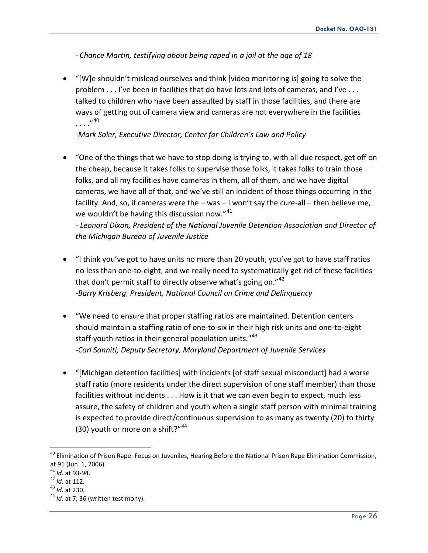*- Chance Martin, testifying about being raped in a jail at the age of 18*

• "[W]e shouldn't mislead ourselves and think [video monitoring is] going to solve the problem . . . I've been in facilities that do have lots and lots of cameras, and I've . . . talked to children who have been assaulted by staff in those facilities, and there are ways of getting out of camera view and cameras are not everywhere in the facilities . . . .  $''^{40}$  $''^{40}$  $''^{40}$ 

-*Mark Soler, Executive Director, Center for Children's Law and Policy*

• "One of the things that we have to stop doing is trying to, with all due respect, get off on the cheap, because it takes folks to supervise those folks, it takes folks to train those folks, and all my facilities have cameras in them, all of them, and we have digital cameras, we have all of that, and we've still an incident of those things occurring in the facility. And, so, if cameras were the – was – I won't say the cure-all – then believe me, we wouldn't be having this discussion now." $41$ 

*- Leonard Dixon, President of the National Juvenile Detention Association and Director of the Michigan Bureau of Juvenile Justice*

- "I think you've got to have units no more than 20 youth, you've got to have staff ratios no less than one-to-eight, and we really need to systematically get rid of these facilities that don't permit staff to directly observe what's going on."<sup>[42](#page-25-2)</sup> -*Barry Krisberg, President, National Council on Crime and Delinquency*
- "We need to ensure that proper staffing ratios are maintained. Detention centers should maintain a staffing ratio of one-to-six in their high risk units and one-to-eight staff-youth ratios in their general population units." [43](#page-25-3) *-Carl Sanniti, Deputy Secretary, Maryland Department of Juvenile Services*
- "[Michigan detention facilities] with incidents [of staff sexual misconduct] had a worse staff ratio (more residents under the direct supervision of one staff member) than those facilities without incidents . . . How is it that we can even begin to expect, much less assure, the safety of children and youth when a single staff person with minimal training is expected to provide direct/continuous supervision to as many as twenty (20) to thirty (30) youth or more on a shift?"<sup>[44](#page-25-4)</sup>

<span id="page-25-0"></span><sup>&</sup>lt;sup>40</sup> Elimination of Prison Rape: Focus on Juveniles, Hearing Before the National Prison Rape Elimination Commission, at 91 (Jun. 1, 2006).<br><sup>41</sup> *Id.* at 93-94.<br><sup>42</sup> *Id.* at 112.<br><sup>43</sup> *Id.* at 230.<br><sup>44</sup> *Id.* at 7, 36 (written testimony).

<span id="page-25-1"></span>

<span id="page-25-2"></span>

<span id="page-25-4"></span><span id="page-25-3"></span>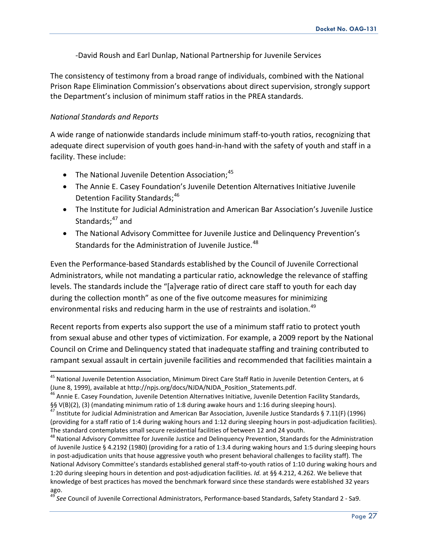-David Roush and Earl Dunlap, National Partnership for Juvenile Services

The consistency of testimony from a broad range of individuals, combined with the National Prison Rape Elimination Commission's observations about direct supervision, strongly support the Department's inclusion of minimum staff ratios in the PREA standards.

### *National Standards and Reports*

A wide range of nationwide standards include minimum staff-to-youth ratios, recognizing that adequate direct supervision of youth goes hand-in-hand with the safety of youth and staff in a facility. These include:

- The National Juvenile Detention Association;  $45$
- The Annie E. Casey Foundation's Juvenile Detention Alternatives Initiative Juvenile Detention Facility Standards;<sup>[46](#page-26-1)</sup>
- The Institute for Judicial Administration and American Bar Association's Juvenile Justice Standards;<sup>[47](#page-26-2)</sup> and
- The National Advisory Committee for Juvenile Justice and Delinquency Prevention's Standards for the Administration of Juvenile Justice.<sup>[48](#page-26-3)</sup>

Even the Performance-based Standards established by the Council of Juvenile Correctional Administrators, while not mandating a particular ratio, acknowledge the relevance of staffing levels. The standards include the "[a]verage ratio of direct care staff to youth for each day during the collection month" as one of the five outcome measures for minimizing environmental risks and reducing harm in the use of restraints and isolation.<sup>[49](#page-26-4)</sup>

Recent reports from experts also support the use of a minimum staff ratio to protect youth from sexual abuse and other types of victimization. For example, a 2009 report by the National Council on Crime and Delinquency stated that inadequate staffing and training contributed to rampant sexual assault in certain juvenile facilities and recommended that facilities maintain a

<span id="page-26-0"></span><sup>&</sup>lt;sup>45</sup> National Juvenile Detention Association, Minimum Direct Care Staff Ratio in Juvenile Detention Centers, at 6 (June 8, 1999), available at http://npjs.org/docs/NJDA/NJDA\_Position\_Statements.pdf.

<span id="page-26-1"></span><sup>&</sup>lt;sup>46</sup> Annie E. Casey Foundation, Juvenile Detention Alternatives Initiative, Juvenile Detention Facility Standards,

<span id="page-26-2"></span><sup>§§</sup> V(B)(2), (3) (mandating minimum ratio of 1:8 during awake hours and 1:16 during sleeping hours).<br><sup>47</sup> Institute for Judicial Administration and American Bar Association, Juvenile Justice Standards § 7.11(F) (1996) (providing for a staff ratio of 1:4 during waking hours and 1:12 during sleeping hours in post-adjudication facilities). The standard contemplates small secure residential facilities of between 12 and 24 youth.<br><sup>48</sup> National Advisory Committee for Juvenile Justice and Delinquency Prevention, Standards for the Administration

<span id="page-26-3"></span>of Juvenile Justice § 4.2192 (1980) (providing for a ratio of 1:3.4 during waking hours and 1:5 during sleeping hours in post-adjudication units that house aggressive youth who present behavioral challenges to facility staff). The National Advisory Committee's standards established general staff-to-youth ratios of 1:10 during waking hours and 1:20 during sleeping hours in detention and post-adjudication facilities. *Id.* at §§ 4.212, 4.262. We believe that knowledge of best practices has moved the benchmark forward since these standards were established 32 years ago.

<span id="page-26-4"></span><sup>49</sup> *See* Council of Juvenile Correctional Administrators, Performance-based Standards, Safety Standard 2 - Sa9.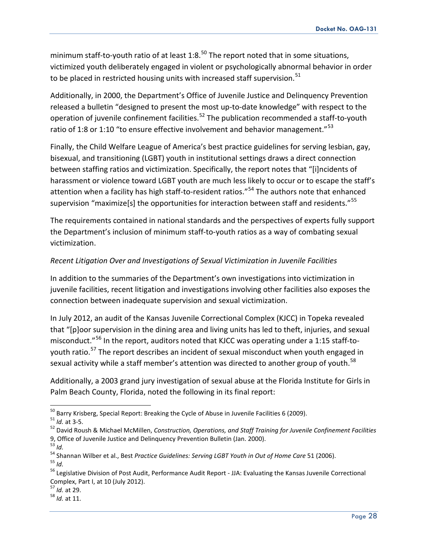minimum staff-to-youth ratio of at least 1:8.<sup>[50](#page-27-0)</sup> The report noted that in some situations, victimized youth deliberately engaged in violent or psychologically abnormal behavior in order to be placed in restricted housing units with increased staff supervision.<sup>[51](#page-27-1)</sup>

Additionally, in 2000, the Department's Office of Juvenile Justice and Delinquency Prevention released a bulletin "designed to present the most up-to-date knowledge" with respect to the operation of juvenile confinement facilities.<sup>[52](#page-27-2)</sup> The publication recommended a staff-to-youth ratio of 1:8 or 1:10 "to ensure effective involvement and behavior management." $53$ 

Finally, the Child Welfare League of America's best practice guidelines for serving lesbian, gay, bisexual, and transitioning (LGBT) youth in institutional settings draws a direct connection between staffing ratios and victimization. Specifically, the report notes that "[i]ncidents of harassment or violence toward LGBT youth are much less likely to occur or to escape the staff's attention when a facility has high staff-to-resident ratios."<sup>[54](#page-27-4)</sup> The authors note that enhanced supervision "maximize[s] the opportunities for interaction between staff and residents."<sup>[55](#page-27-5)</sup>

The requirements contained in national standards and the perspectives of experts fully support the Department's inclusion of minimum staff-to-youth ratios as a way of combating sexual victimization.

## *Recent Litigation Over and Investigations of Sexual Victimization in Juvenile Facilities*

In addition to the summaries of the Department's own investigations into victimization in juvenile facilities, recent litigation and investigations involving other facilities also exposes the connection between inadequate supervision and sexual victimization.

In July 2012, an audit of the Kansas Juvenile Correctional Complex (KJCC) in Topeka revealed that "[p]oor supervision in the dining area and living units has led to theft, injuries, and sexual misconduct."<sup>[56](#page-27-6)</sup> In the report, auditors noted that KJCC was operating under a 1:15 staff-to-youth ratio.<sup>[57](#page-27-7)</sup> The report describes an incident of sexual misconduct when youth engaged in sexual activity while a staff member's attention was directed to another group of youth.<sup>[58](#page-27-8)</sup>

Additionally, a 2003 grand jury investigation of sexual abuse at the Florida Institute for Girls in Palm Beach County, Florida, noted the following in its final report:

<span id="page-27-7"></span>

<span id="page-27-2"></span>

<span id="page-27-1"></span><span id="page-27-0"></span><sup>&</sup>lt;sup>50</sup> Barry Krisberg, Special Report: Breaking the Cycle of Abuse in Juvenile Facilities 6 (2009).<br><sup>51</sup> *Id.* at 3-5.<br><sup>52</sup> David Roush & Michael McMillen, Construction, Operations, and Staff Training for Juvenile Confinemen 9, Office of Juvenile Justice and Delinquency Prevention Bulletin (Jan. 2000). <sup>53</sup> *Id.*

<span id="page-27-5"></span><span id="page-27-4"></span><span id="page-27-3"></span><sup>54</sup> Shannan Wilber et al., Best *Practice Guidelines: Serving LGBT Youth in Out of Home Care* 51 (2006).<br><sup>55</sup> *Id* 

<span id="page-27-6"></span><sup>&</sup>lt;sup>56</sup> Legislative Division of Post Audit, Performance Audit Report - JJA: Evaluating the Kansas Juvenile Correctional Complex, Part I, at 10 (July 2012). <sup>57</sup> *Id.* at 29. <sup>58</sup> *Id.* at 11.

<span id="page-27-8"></span>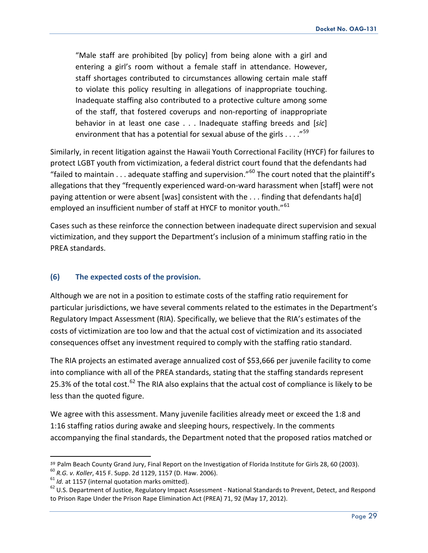"Male staff are prohibited [by policy] from being alone with a girl and entering a girl's room without a female staff in attendance. However, staff shortages contributed to circumstances allowing certain male staff to violate this policy resulting in allegations of inappropriate touching. Inadequate staffing also contributed to a protective culture among some of the staff, that fostered coverups and non-reporting of inappropriate behavior in at least one case . . . Inadequate staffing breeds and [*sic*] environment that has a potential for sexual abuse of the girls  $\dots$ ."<sup>[59](#page-28-0)</sup>

Similarly, in recent litigation against the Hawaii Youth Correctional Facility (HYCF) for failures to protect LGBT youth from victimization, a federal district court found that the defendants had "failed to maintain  $\dots$  adequate staffing and supervision."<sup>[60](#page-28-1)</sup> The court noted that the plaintiff's allegations that they "frequently experienced ward-on-ward harassment when [staff] were not paying attention or were absent [was] consistent with the . . . finding that defendants ha[d] employed an insufficient number of staff at HYCF to monitor youth."<sup>[61](#page-28-2)</sup>

Cases such as these reinforce the connection between inadequate direct supervision and sexual victimization, and they support the Department's inclusion of a minimum staffing ratio in the PREA standards.

## **(6) The expected costs of the provision.**

Although we are not in a position to estimate costs of the staffing ratio requirement for particular jurisdictions, we have several comments related to the estimates in the Department's Regulatory Impact Assessment (RIA). Specifically, we believe that the RIA's estimates of the costs of victimization are too low and that the actual cost of victimization and its associated consequences offset any investment required to comply with the staffing ratio standard.

The RIA projects an estimated average annualized cost of \$53,666 per juvenile facility to come into compliance with all of the PREA standards, stating that the staffing standards represent 25.3% of the total cost.<sup>[62](#page-28-3)</sup> The RIA also explains that the actual cost of compliance is likely to be less than the quoted figure.

We agree with this assessment. Many juvenile facilities already meet or exceed the 1:8 and 1:16 staffing ratios during awake and sleeping hours, respectively. In the comments accompanying the final standards, the Department noted that the proposed ratios matched or

<span id="page-28-0"></span><sup>&</sup>lt;sup>59</sup> Palm Beach County Grand Jury, Final Report on the Investigation of Florida Institute for Girls 28, 60 (2003).<br><sup>60</sup> R.G. v. Koller, 415 F. Supp. 2d 1129, 1157 (D. Haw. 2006).<br><sup>61</sup> Id. at 1157 (internal quotation marks

<span id="page-28-2"></span><span id="page-28-1"></span>

<span id="page-28-3"></span>to Prison Rape Under the Prison Rape Elimination Act (PREA) 71, 92 (May 17, 2012).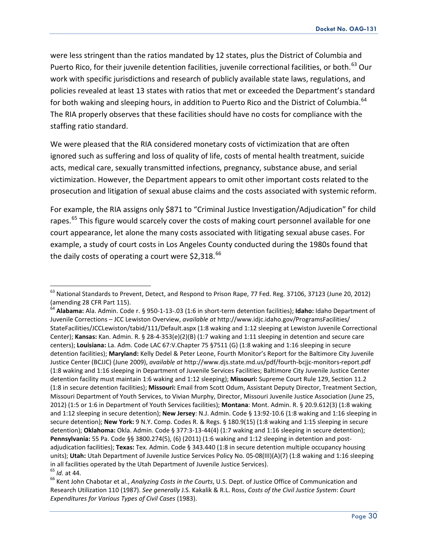were less stringent than the ratios mandated by 12 states, plus the District of Columbia and Puerto Rico, for their juvenile detention facilities, juvenile correctional facilities, or both.<sup>[63](#page-29-0)</sup> Our work with specific jurisdictions and research of publicly available state laws, regulations, and policies revealed at least 13 states with ratios that met or exceeded the Department's standard for both waking and sleeping hours, in addition to Puerto Rico and the District of Columbia.<sup>[64](#page-29-1)</sup> The RIA properly observes that these facilities should have no costs for compliance with the staffing ratio standard.

We were pleased that the RIA considered monetary costs of victimization that are often ignored such as suffering and loss of quality of life, costs of mental health treatment, suicide acts, medical care, sexually transmitted infections, pregnancy, substance abuse, and serial victimization. However, the Department appears to omit other important costs related to the prosecution and litigation of sexual abuse claims and the costs associated with systemic reform.

For example, the RIA assigns only \$871 to "Criminal Justice Investigation/Adjudication" for child rapes.<sup>[65](#page-29-2)</sup> This figure would scarcely cover the costs of making court personnel available for one court appearance, let alone the many costs associated with litigating sexual abuse cases. For example, a study of court costs in Los Angeles County conducted during the 1980s found that the daily costs of operating a court were  $$2,318.<sup>66</sup>$  $$2,318.<sup>66</sup>$  $$2,318.<sup>66</sup>$ 

<span id="page-29-0"></span><sup>63</sup> National Standards to Prevent, Detect, and Respond to Prison Rape, 77 Fed. Reg. 37106, 37123 (June 20, 2012) (amending 28 CFR Part 115).

<span id="page-29-1"></span><sup>64</sup> **Alabama:** Ala. Admin. Code r. § 950-1-13-.03 (1:6 in short-term detention facilities); **Idaho:** Idaho Department of Juvenile Corrections – JCC Lewiston Overview, *available at* http://www.idjc.idaho.gov/ProgramsFacilities/ StateFacilities/JCCLewiston/tabid/111/Default.aspx (1:8 waking and 1:12 sleeping at Lewiston Juvenile Correctional Center); **Kansas:** Kan. Admin. R. § 28-4-353(e)(2)(B) (1:7 waking and 1:11 sleeping in detention and secure care centers); **Louisiana:** La. Adm. Code LAC 67:V.Chapter 75 §7511 (G) (1:8 waking and 1:16 sleeping in secure detention facilities); **Maryland:** Kelly Dedel & Peter Leone, Fourth Monitor's Report for the Baltimore City Juvenile Justice Center (BCJJC) (June 2009), *available at* http://www.djs.state.md.us/pdf/fourth-bcjjc-monitors-report.pdf (1:8 waking and 1:16 sleeping in Department of Juvenile Services Facilities; Baltimore City Juvenile Justice Center detention facility must maintain 1:6 waking and 1:12 sleeping); **Missouri:** Supreme Court Rule 129, Section 11.2 (1:8 in secure detention facilities); **Missouri:** Email from Scott Odum, Assistant Deputy Director, Treatment Section, Missouri Department of Youth Services, to Vivian Murphy, Director, Missouri Juvenile Justice Association (June 25, 2012) (1:5 or 1:6 in Department of Youth Services facilities); **Montana**: Mont. Admin. R. § 20.9.612(3) (1:8 waking and 1:12 sleeping in secure detention); **New Jersey**: N.J. Admin. Code § 13:92-10.6 (1:8 waking and 1:16 sleeping in secure detention); **New York:** 9 N.Y. Comp. Codes R. & Regs. § 180.9(15) (1:8 waking and 1:15 sleeping in secure detention); Oklahoma: Okla. Admin. Code § 377:3-13-44(4) (1:7 waking and 1:16 sleeping in secure detention); **Pennsylvania:** 55 Pa. Code §§ 3800.274(5), (6) (2011) (1:6 waking and 1:12 sleeping in detention and postadjudication facilities); **Texas:** Tex. Admin. Code § 343.440 (1:8 in secure detention multiple occupancy housing units); Utah: Utah Department of Juvenile Justice Services Policy No. 05-08(III)(A)(7) (1:8 waking and 1:16 sleeping in all facilities operated by the Utah Department of Juvenile Justice Services).<br><sup>65</sup> *Id.* at 44.<br><sup>66</sup> Kent John Chabotar et al., *Analyzing Costs in the Courts*, U.S. Dept. of Justice Office of Communication and

<span id="page-29-2"></span>

<span id="page-29-3"></span>Research Utilization 110 (1987). *See generally* J.S. Kakalik & R.L. Ross, *Costs of the Civil Justice System*: *Court Expenditures for Various Types of Civil Cases* (1983).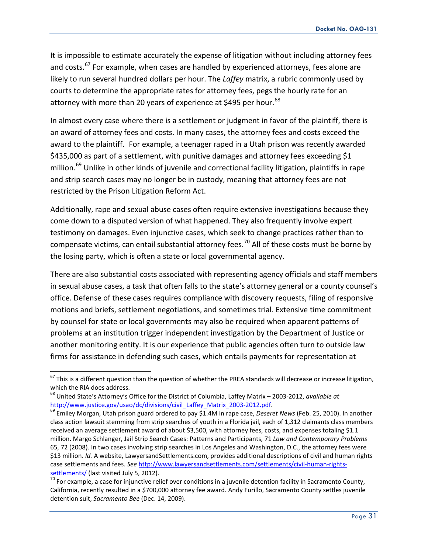It is impossible to estimate accurately the expense of litigation without including attorney fees and costs.<sup>[67](#page-30-0)</sup> For example, when cases are handled by experienced attorneys, fees alone are likely to run several hundred dollars per hour. The *Laffey* matrix, a rubric commonly used by courts to determine the appropriate rates for attorney fees, pegs the hourly rate for an attorney with more than 20 years of experience at \$495 per hour.<sup>[68](#page-30-1)</sup>

In almost every case where there is a settlement or judgment in favor of the plaintiff, there is an award of attorney fees and costs. In many cases, the attorney fees and costs exceed the award to the plaintiff. For example, a teenager raped in a Utah prison was recently awarded \$435,000 as part of a settlement, with punitive damages and attorney fees exceeding \$1 million.<sup>[69](#page-30-2)</sup> Unlike in other kinds of juvenile and correctional facility litigation, plaintiffs in rape and strip search cases may no longer be in custody, meaning that attorney fees are not restricted by the Prison Litigation Reform Act.

Additionally, rape and sexual abuse cases often require extensive investigations because they come down to a disputed version of what happened. They also frequently involve expert testimony on damages. Even injunctive cases, which seek to change practices rather than to compensate victims, can entail substantial attorney fees.<sup>[70](#page-30-3)</sup> All of these costs must be borne by the losing party, which is often a state or local governmental agency.

There are also substantial costs associated with representing agency officials and staff members in sexual abuse cases, a task that often falls to the state's attorney general or a county counsel's office. Defense of these cases requires compliance with discovery requests, filing of responsive motions and briefs, settlement negotiations, and sometimes trial. Extensive time commitment by counsel for state or local governments may also be required when apparent patterns of problems at an institution trigger independent investigation by the Department of Justice or another monitoring entity. It is our experience that public agencies often turn to outside law firms for assistance in defending such cases, which entails payments for representation at

<span id="page-30-0"></span> $67$  This is a different question than the question of whether the PREA standards will decrease or increase litigation, which the RIA does address.

<span id="page-30-1"></span><sup>68</sup> United State's Attorney's Office for the District of Columbia, Laffey Matrix – 2003-2012, *available at* 

<span id="page-30-2"></span><sup>&</sup>lt;sup>69</sup> Emiley Morgan, Utah prison guard ordered to pay \$1.4M in rape case, *Deseret News* (Feb. 25, 2010). In another class action lawsuit stemming from strip searches of youth in a Florida jail, each of 1,312 claimants class members received an average settlement award of about \$3,500, with attorney fees, costs, and expenses totaling \$1.1 million. Margo Schlanger, Jail Strip Search Cases: Patterns and Participants, 71 *Law and Contemporary Problems* 65, 72 (2008). In two cases involving strip searches in Los Angeles and Washington, D.C., the attorney fees were \$13 million. *Id.* A website, LawyersandSettlements.com, provides additional descriptions of civil and human rights case settlements and fees. *See* [http://www.lawyersandsettlements.com/settlements/civil-human-rights-](http://www.lawyersandsettlements.com/settlements/civil-human-rights-settlements/)

<span id="page-30-3"></span>[settlements/](http://www.lawyersandsettlements.com/settlements/civil-human-rights-settlements/) (last visited July 5, 2012).<br><sup>70</sup> For example, a case for injunctive relief over conditions in a juvenile detention facility in Sacramento County, California, recently resulted in a \$700,000 attorney fee award. Andy Furillo, Sacramento County settles juvenile detention suit, *Sacramento Bee* (Dec. 14, 2009).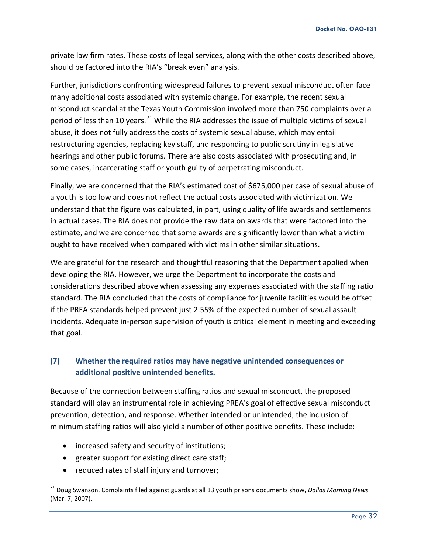private law firm rates. These costs of legal services, along with the other costs described above, should be factored into the RIA's "break even" analysis.

Further, jurisdictions confronting widespread failures to prevent sexual misconduct often face many additional costs associated with systemic change. For example, the recent sexual misconduct scandal at the Texas Youth Commission involved more than 750 complaints over a period of less than 10 years.<sup>[71](#page-31-0)</sup> While the RIA addresses the issue of multiple victims of sexual abuse, it does not fully address the costs of systemic sexual abuse, which may entail restructuring agencies, replacing key staff, and responding to public scrutiny in legislative hearings and other public forums. There are also costs associated with prosecuting and, in some cases, incarcerating staff or youth guilty of perpetrating misconduct.

Finally, we are concerned that the RIA's estimated cost of \$675,000 per case of sexual abuse of a youth is too low and does not reflect the actual costs associated with victimization. We understand that the figure was calculated, in part, using quality of life awards and settlements in actual cases. The RIA does not provide the raw data on awards that were factored into the estimate, and we are concerned that some awards are significantly lower than what a victim ought to have received when compared with victims in other similar situations.

We are grateful for the research and thoughtful reasoning that the Department applied when developing the RIA. However, we urge the Department to incorporate the costs and considerations described above when assessing any expenses associated with the staffing ratio standard. The RIA concluded that the costs of compliance for juvenile facilities would be offset if the PREA standards helped prevent just 2.55% of the expected number of sexual assault incidents. Adequate in-person supervision of youth is critical element in meeting and exceeding that goal.

# **(7) Whether the required ratios may have negative unintended consequences or additional positive unintended benefits.**

Because of the connection between staffing ratios and sexual misconduct, the proposed standard will play an instrumental role in achieving PREA's goal of effective sexual misconduct prevention, detection, and response. Whether intended or unintended, the inclusion of minimum staffing ratios will also yield a number of other positive benefits. These include:

- increased safety and security of institutions;
- greater support for existing direct care staff;
- reduced rates of staff injury and turnover;

<span id="page-31-0"></span><sup>71</sup> Doug Swanson, Complaints filed against guards at all 13 youth prisons documents show, *Dallas Morning News* (Mar. 7, 2007).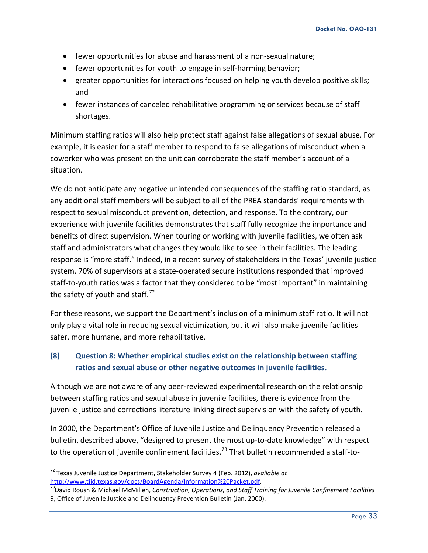- fewer opportunities for abuse and harassment of a non-sexual nature;
- fewer opportunities for youth to engage in self-harming behavior;
- greater opportunities for interactions focused on helping youth develop positive skills; and
- fewer instances of canceled rehabilitative programming or services because of staff shortages.

Minimum staffing ratios will also help protect staff against false allegations of sexual abuse. For example, it is easier for a staff member to respond to false allegations of misconduct when a coworker who was present on the unit can corroborate the staff member's account of a situation.

We do not anticipate any negative unintended consequences of the staffing ratio standard, as any additional staff members will be subject to all of the PREA standards' requirements with respect to sexual misconduct prevention, detection, and response. To the contrary, our experience with juvenile facilities demonstrates that staff fully recognize the importance and benefits of direct supervision. When touring or working with juvenile facilities, we often ask staff and administrators what changes they would like to see in their facilities. The leading response is "more staff." Indeed, in a recent survey of stakeholders in the Texas' juvenile justice system, 70% of supervisors at a state-operated secure institutions responded that improved staff-to-youth ratios was a factor that they considered to be "most important" in maintaining the safety of youth and staff. $^{72}$  $^{72}$  $^{72}$ 

For these reasons, we support the Department's inclusion of a minimum staff ratio. It will not only play a vital role in reducing sexual victimization, but it will also make juvenile facilities safer, more humane, and more rehabilitative.

## **(8) Question 8: Whether empirical studies exist on the relationship between staffing ratios and sexual abuse or other negative outcomes in juvenile facilities.**

Although we are not aware of any peer-reviewed experimental research on the relationship between staffing ratios and sexual abuse in juvenile facilities, there is evidence from the juvenile justice and corrections literature linking direct supervision with the safety of youth.

In 2000, the Department's Office of Juvenile Justice and Delinquency Prevention released a bulletin, described above, "designed to present the most up-to-date knowledge" with respect to the operation of juvenile confinement facilities.<sup>[73](#page-32-1)</sup> That bulletin recommended a staff-to-

<span id="page-32-0"></span><sup>72</sup> Texas Juvenile Justice Department, Stakeholder Survey 4 (Feb. 2012), *available at*  [http://www.tjjd.texas.gov/docs/BoardAgenda/Information%20Packet.pdf.](http://www.tjjd.texas.gov/docs/BoardAgenda/Information%20Packet.pdf)<br><sup>73</sup>David Roush & Michael McMillen, *Construction, Operations, and Staff Training for Juvenile Confinement Facilities* 

<span id="page-32-1"></span><sup>9,</sup> Office of Juvenile Justice and Delinquency Prevention Bulletin (Jan. 2000).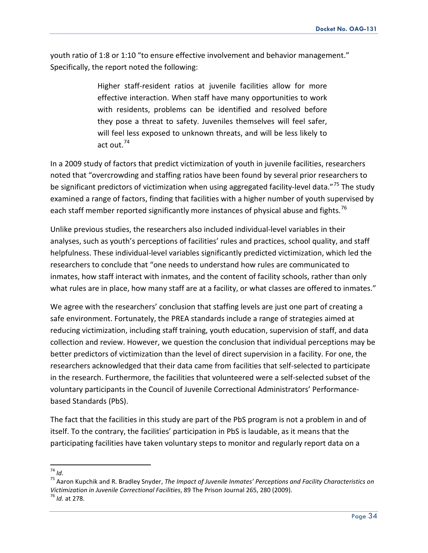youth ratio of 1:8 or 1:10 "to ensure effective involvement and behavior management." Specifically, the report noted the following:

> Higher staff-resident ratios at juvenile facilities allow for more effective interaction. When staff have many opportunities to work with residents, problems can be identified and resolved before they pose a threat to safety. Juveniles themselves will feel safer, will feel less exposed to unknown threats, and will be less likely to act out.[74](#page-33-0)

In a 2009 study of factors that predict victimization of youth in juvenile facilities, researchers noted that "overcrowding and staffing ratios have been found by several prior researchers to be significant predictors of victimization when using aggregated facility-level data."<sup>[75](#page-33-1)</sup> The study examined a range of factors, finding that facilities with a higher number of youth supervised by each staff member reported significantly more instances of physical abuse and fights.<sup>[76](#page-33-2)</sup>

Unlike previous studies, the researchers also included individual-level variables in their analyses, such as youth's perceptions of facilities' rules and practices, school quality, and staff helpfulness. These individual-level variables significantly predicted victimization, which led the researchers to conclude that "one needs to understand how rules are communicated to inmates, how staff interact with inmates, and the content of facility schools, rather than only what rules are in place, how many staff are at a facility, or what classes are offered to inmates."

We agree with the researchers' conclusion that staffing levels are just one part of creating a safe environment. Fortunately, the PREA standards include a range of strategies aimed at reducing victimization, including staff training, youth education, supervision of staff, and data collection and review. However, we question the conclusion that individual perceptions may be better predictors of victimization than the level of direct supervision in a facility. For one, the researchers acknowledged that their data came from facilities that self-selected to participate in the research. Furthermore, the facilities that volunteered were a self-selected subset of the voluntary participants in the Council of Juvenile Correctional Administrators' Performancebased Standards (PbS).

The fact that the facilities in this study are part of the PbS program is not a problem in and of itself. To the contrary, the facilities' participation in PbS is laudable, as it means that the participating facilities have taken voluntary steps to monitor and regularly report data on a

<span id="page-33-0"></span>74 *Id.*

<span id="page-33-2"></span><span id="page-33-1"></span><sup>75</sup> Aaron Kupchik and R. Bradley Snyder, *The Impact of Juvenile Inmates' Perceptions and Facility Characteristics on Victimization in Juvenile Correctional Facilities, 89 The Prison Journal 265, 280 (2009).* <sup>76</sup> *Id.* at 278.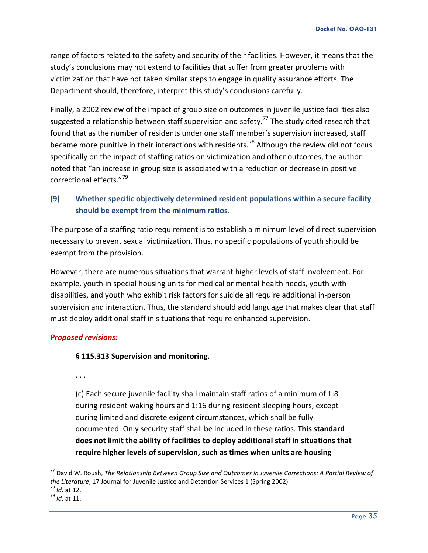range of factors related to the safety and security of their facilities. However, it means that the study's conclusions may not extend to facilities that suffer from greater problems with victimization that have not taken similar steps to engage in quality assurance efforts. The Department should, therefore, interpret this study's conclusions carefully.

Finally, a 2002 review of the impact of group size on outcomes in juvenile justice facilities also suggested a relationship between staff supervision and safety.<sup>[77](#page-34-0)</sup> The study cited research that found that as the number of residents under one staff member's supervision increased, staff became more punitive in their interactions with residents.<sup>[78](#page-34-1)</sup> Although the review did not focus specifically on the impact of staffing ratios on victimization and other outcomes, the author noted that "an increase in group size is associated with a reduction or decrease in positive correctional effects."[79](#page-34-2)

## **(9) Whether specific objectively determined resident populations within a secure facility should be exempt from the minimum ratios.**

The purpose of a staffing ratio requirement is to establish a minimum level of direct supervision necessary to prevent sexual victimization. Thus, no specific populations of youth should be exempt from the provision.

However, there are numerous situations that warrant higher levels of staff involvement. For example, youth in special housing units for medical or mental health needs, youth with disabilities, and youth who exhibit risk factors for suicide all require additional in-person supervision and interaction. Thus, the standard should add language that makes clear that staff must deploy additional staff in situations that require enhanced supervision.

## *Proposed revisions:*

## **§ 115.313 Supervision and monitoring.**

. . .

(c) Each secure juvenile facility shall maintain staff ratios of a minimum of 1:8 during resident waking hours and 1:16 during resident sleeping hours, except during limited and discrete exigent circumstances, which shall be fully documented. Only security staff shall be included in these ratios. **This standard does not limit the ability of facilities to deploy additional staff in situations that require higher levels of supervision, such as times when units are housing**

<span id="page-34-0"></span><sup>77</sup> David W. Roush, *The Relationship Between Group Size and Outcomes in Juvenile Corrections: A Partial Review of the Literature*, 17 Journal for Juvenile Justice and Detention Services 1 (Spring 2002).<br><sup>78</sup> *Id.* at 12.<br><sup>79</sup> *Id.* at 11.

<span id="page-34-2"></span><span id="page-34-1"></span>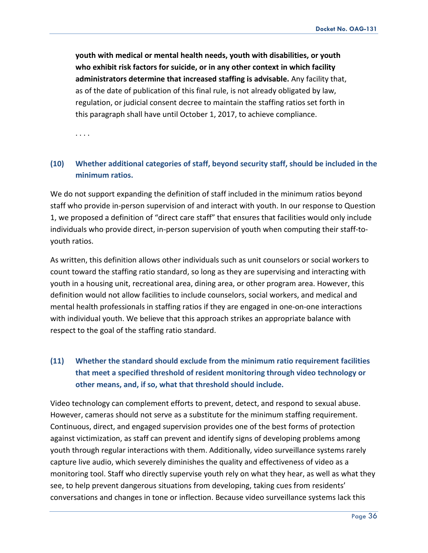**youth with medical or mental health needs, youth with disabilities, or youth who exhibit risk factors for suicide, or in any other context in which facility administrators determine that increased staffing is advisable.** Any facility that, as of the date of publication of this final rule, is not already obligated by law, regulation, or judicial consent decree to maintain the staffing ratios set forth in this paragraph shall have until October 1, 2017, to achieve compliance.

. . . .

## **(10) Whether additional categories of staff, beyond security staff, should be included in the minimum ratios.**

We do not support expanding the definition of staff included in the minimum ratios beyond staff who provide in-person supervision of and interact with youth. In our response to Question 1, we proposed a definition of "direct care staff" that ensures that facilities would only include individuals who provide direct, in-person supervision of youth when computing their staff-toyouth ratios.

As written, this definition allows other individuals such as unit counselors or social workers to count toward the staffing ratio standard, so long as they are supervising and interacting with youth in a housing unit, recreational area, dining area, or other program area. However, this definition would not allow facilities to include counselors, social workers, and medical and mental health professionals in staffing ratios if they are engaged in one-on-one interactions with individual youth. We believe that this approach strikes an appropriate balance with respect to the goal of the staffing ratio standard.

# **(11) Whether the standard should exclude from the minimum ratio requirement facilities that meet a specified threshold of resident monitoring through video technology or other means, and, if so, what that threshold should include.**

Video technology can complement efforts to prevent, detect, and respond to sexual abuse. However, cameras should not serve as a substitute for the minimum staffing requirement. Continuous, direct, and engaged supervision provides one of the best forms of protection against victimization, as staff can prevent and identify signs of developing problems among youth through regular interactions with them. Additionally, video surveillance systems rarely capture live audio, which severely diminishes the quality and effectiveness of video as a monitoring tool. Staff who directly supervise youth rely on what they hear, as well as what they see, to help prevent dangerous situations from developing, taking cues from residents' conversations and changes in tone or inflection. Because video surveillance systems lack this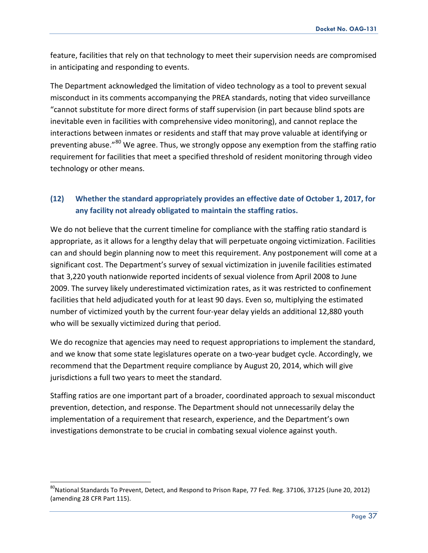feature, facilities that rely on that technology to meet their supervision needs are compromised in anticipating and responding to events.

The Department acknowledged the limitation of video technology as a tool to prevent sexual misconduct in its comments accompanying the PREA standards, noting that video surveillance "cannot substitute for more direct forms of staff supervision (in part because blind spots are inevitable even in facilities with comprehensive video monitoring), and cannot replace the interactions between inmates or residents and staff that may prove valuable at identifying or preventing abuse."<sup>[80](#page-36-0)</sup> We agree. Thus, we strongly oppose any exemption from the staffing ratio requirement for facilities that meet a specified threshold of resident monitoring through video technology or other means.

## **(12) Whether the standard appropriately provides an effective date of October 1, 2017, for any facility not already obligated to maintain the staffing ratios.**

We do not believe that the current timeline for compliance with the staffing ratio standard is appropriate, as it allows for a lengthy delay that will perpetuate ongoing victimization. Facilities can and should begin planning now to meet this requirement. Any postponement will come at a significant cost. The Department's survey of sexual victimization in juvenile facilities estimated that 3,220 youth nationwide reported incidents of sexual violence from April 2008 to June 2009. The survey likely underestimated victimization rates, as it was restricted to confinement facilities that held adjudicated youth for at least 90 days. Even so, multiplying the estimated number of victimized youth by the current four-year delay yields an additional 12,880 youth who will be sexually victimized during that period.

We do recognize that agencies may need to request appropriations to implement the standard, and we know that some state legislatures operate on a two-year budget cycle. Accordingly, we recommend that the Department require compliance by August 20, 2014, which will give jurisdictions a full two years to meet the standard.

Staffing ratios are one important part of a broader, coordinated approach to sexual misconduct prevention, detection, and response. The Department should not unnecessarily delay the implementation of a requirement that research, experience, and the Department's own investigations demonstrate to be crucial in combating sexual violence against youth.

<span id="page-36-0"></span> $80$ National Standards To Prevent, Detect, and Respond to Prison Rape, 77 Fed. Reg. 37106, 37125 (June 20, 2012) (amending 28 CFR Part 115).